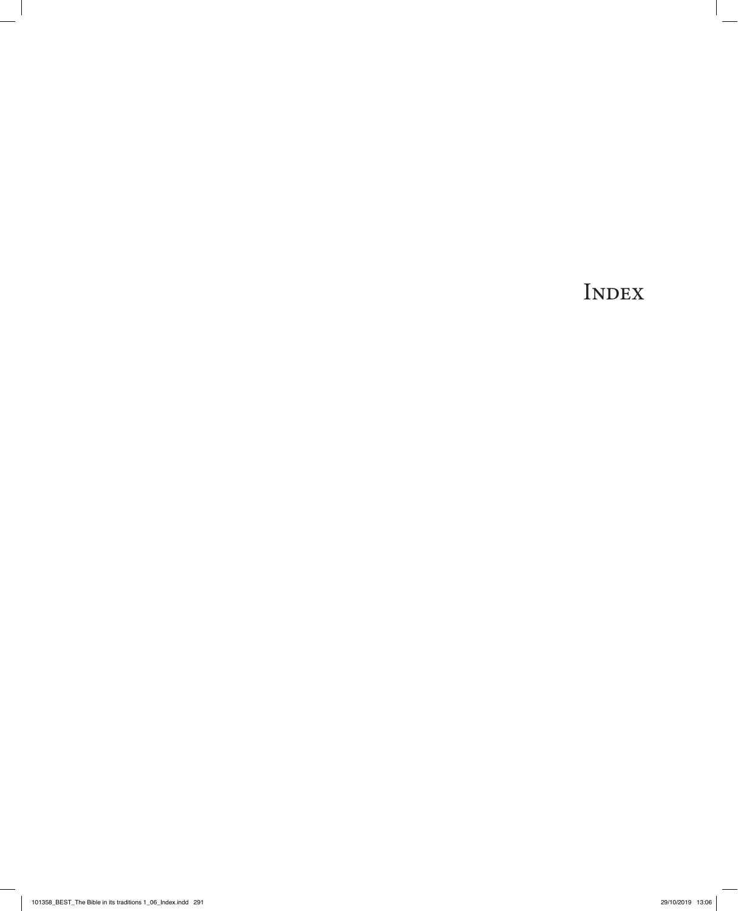INDEX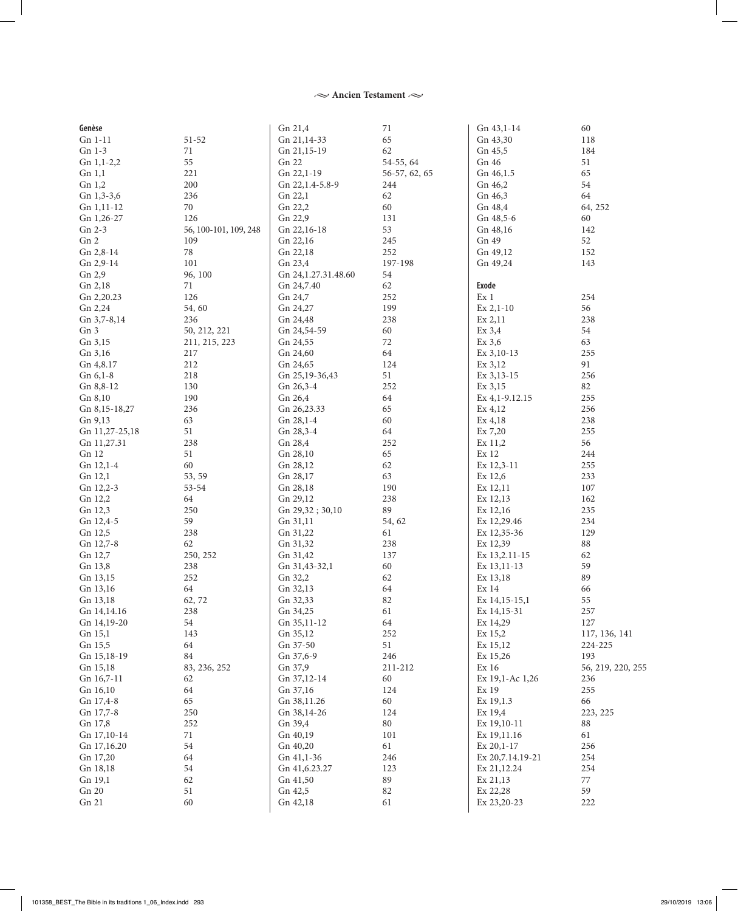#### $\sim$  Ancien Testament $\sim$

| Genèse         |                       | Gn 21,4              | 71            | Gn 43,1-14       | 60                |
|----------------|-----------------------|----------------------|---------------|------------------|-------------------|
| Gn 1-11        | $51 - 52$             | Gn 21,14-33          | 65            | Gn 43,30         | 118               |
| Gn 1-3         | $71\,$                | Gn 21,15-19          | 62            | Gn 45,5          | 184               |
| Gn $1,1-2,2$   | 55                    | Gn 22                | 54-55, 64     | Gn 46            | 51                |
| Gn 1,1         | 221                   | Gn 22,1-19           | 56-57, 62, 65 | Gn 46,1.5        | 65                |
| Gn 1,2         | 200                   | Gn 22, 1.4-5.8-9     | 244           | Gn 46,2          | 54                |
| $Gn$ 1,3-3,6   | 236                   | Gn 22,1              | 62            | Gn 46,3          | 64                |
| Gn 1,11-12     | 70                    | Gn 22,2              | 60            | Gn 48,4          | 64, 252           |
| Gn 1,26-27     | 126                   | Gn 22,9              | 131           | Gn 48,5-6        | 60                |
| Gn 2-3         | 56, 100-101, 109, 248 | Gn 22,16-18          | 53            | Gn 48,16         | 142               |
| Gn 2           | 109                   | Gn 22,16             | 245           | Gn 49            | 52                |
| Gn 2,8-14      | $78\,$                | Gn 22,18             | 252           | Gn 49,12         | 152               |
| Gn 2,9-14      | 101                   | Gn 23,4              | 197-198       | Gn 49,24         | 143               |
| Gn 2,9         | 96, 100               | Gn 24, 1.27.31.48.60 | 54            |                  |                   |
| Gn 2,18        | $71\,$                | Gn 24,7.40           | 62            | <b>Exode</b>     |                   |
| Gn 2,20.23     | 126                   | Gn 24,7              | 252           | Ex <sub>1</sub>  | 254               |
| Gn 2,24        | 54,60                 | Gn 24,27             | 199           | $Ex 2,1-10$      | 56                |
| Gn 3,7-8,14    | 236                   | Gn 24,48             | 238           | $Ex\,2,11$       | 238               |
| Gn 3           | 50, 212, 221          | Gn 24,54-59          | 60            | $Ex\,3,4$        | 54                |
| Gn 3,15        | 211, 215, 223         | Gn 24,55             | 72            | $Ex\,3,6$        | 63                |
| Gn 3,16        | 217                   | Gn 24,60             | 64            | Ex 3,10-13       | 255               |
| Gn 4,8.17      | 212                   | Gn 24,65             | 124           | Ex 3,12          | 91                |
| Gn 6,1-8       | 218                   | Gn 25,19-36,43       | 51            | $Ex\,3,13-15$    | 256               |
| $Gn 8,8-12$    | 130                   | Gn 26,3-4            | 252           | Ex 3,15          | 82                |
| Gn 8,10        | 190                   | Gn 26,4              | 64            | Ex 4, 1-9.12.15  | 255               |
| Gn 8,15-18,27  | 236                   | Gn 26,23.33          | 65            | Ex 4,12          | 256               |
| Gn 9,13        | 63                    | Gn 28,1-4            | 60            | Ex 4,18          | 238               |
| Gn 11,27-25,18 | 51                    | Gn 28,3-4            | 64            | Ex 7,20          | 255               |
| Gn 11,27.31    | 238                   | Gn 28,4              | 252           | Ex 11,2          | 56                |
| Gn 12          | 51                    | Gn 28,10             | 65            | Ex 12            | 244               |
| Gn 12,1-4      | 60                    | Gn 28,12             | 62            | Ex 12,3-11       | 255               |
| Gn 12,1        | 53, 59                | Gn 28,17             | 63            | Ex 12,6          | 233               |
| Gn 12,2-3      | 53-54                 | Gn 28,18             | 190           | Ex 12,11         | 107               |
| Gn 12,2        | 64                    | Gn 29,12             | 238           | Ex 12,13         | 162               |
| Gn 12,3        | 250                   | Gn 29,32; 30,10      | 89            | Ex 12,16         | 235               |
| Gn 12,4-5      | 59                    | Gn 31,11             | 54, 62        | Ex 12,29.46      | 234               |
| Gn 12,5        | 238                   | Gn 31,22             | 61            | Ex 12,35-36      | 129               |
| Gn 12,7-8      | 62                    | Gn 31,32             | 238           | Ex 12,39         | 88                |
| Gn 12,7        | 250, 252              | Gn 31,42             | 137           | Ex 13,2.11-15    | 62                |
| Gn 13,8        | 238                   | Gn 31,43-32,1        | 60            | Ex 13,11-13      | 59                |
| Gn 13,15       | 252                   | Gn 32,2              | 62            | Ex 13,18         | 89                |
| Gn 13,16       | 64                    | Gn 32,13             | 64            | Ex <sub>14</sub> | 66                |
| Gn 13,18       | 62, 72                | Gn 32,33             | 82            | Ex 14,15-15,1    | 55                |
| Gn 14,14.16    | 238                   | Gn 34,25             | 61            | Ex 14,15-31      | 257               |
| Gn 14,19-20    | 54                    | Gn 35,11-12          | 64            | Ex 14,29         | 127               |
| Gn 15,1        | 143                   | Gn 35,12             | 252           | Ex 15,2          | 117, 136, 141     |
| Gn 15,5        | 64                    | Gn 37-50             | 51            | Ex 15,12         | 224-225           |
| Gn 15,18-19    | 84                    | Gn 37,6-9            | 246           | Ex 15,26         | 193               |
| Gn 15,18       | 83, 236, 252          | Gn 37,9              | 211-212       | Ex 16            | 56, 219, 220, 255 |
| Gn 16,7-11     | 62                    | Gn 37,12-14          | 60            | Ex 19,1-Ac 1,26  | 236               |
| Gn 16,10       | 64                    | Gn 37,16             | 124           | Ex 19            | 255               |
| Gn 17,4-8      | 65                    | Gn 38,11.26          | 60            | Ex 19,1.3        | 66                |
| Gn 17,7-8      | 250                   | Gn 38,14-26          | 124           | Ex 19,4          | 223, 225          |
| Gn 17,8        | 252                   | Gn 39,4              | 80            | Ex 19,10-11      | 88                |
| Gn 17,10-14    | 71                    | Gn 40,19             | 101           | Ex 19,11.16      | 61                |
| Gn 17,16.20    | 54                    | Gn 40,20             | 61            | $Ex 20,1-17$     | 256               |
| Gn 17,20       | 64                    | Gn 41,1-36           | 246           | Ex 20,7.14.19-21 | 254               |
| Gn 18,18       | 54                    | Gn 41,6.23.27        | 123           | Ex 21,12.24      | 254               |
| Gn 19,1        | 62                    | Gn 41,50             | 89            | Ex 21,13         | 77                |
| Gn 20          | 51                    | Gn 42,5              | 82            | Ex 22,28         | 59                |
| Gn 21          | 60                    | Gn 42,18             | 61            | Ex 23,20-23      | 222               |
|                |                       |                      |               |                  |                   |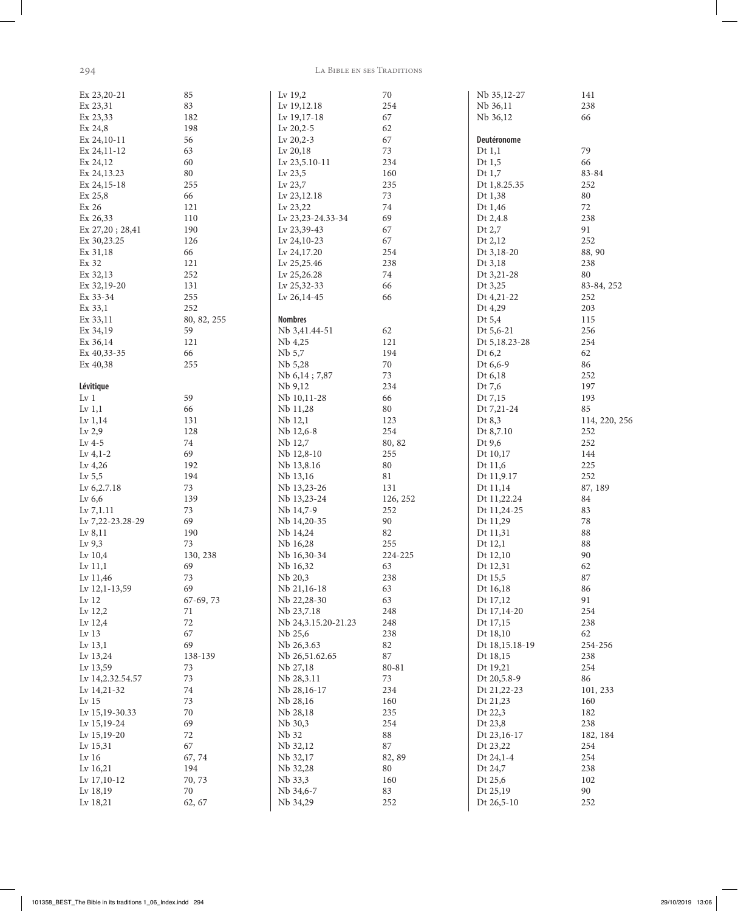294

 $\overline{\phantom{a}}$ 

#### LA BIBLE EN SES TRADITIONS

| Ex 23,20-21      | 85             | Lv 19,2             | 70            | Nb 35,12-27    | 141           |
|------------------|----------------|---------------------|---------------|----------------|---------------|
| Ex 23,31         | 83             | Lv 19,12.18         | 254           | Nb 36,11       | 238           |
| Ex 23,33         | 182            | Lv 19,17-18         | 67            | Nb 36,12       | 66            |
| Ex 24,8          | 198            | Lv 20,2-5           | 62            |                |               |
| Ex 24,10-11      | 56             | Lv 20,2-3           | 67            | Deutéronome    |               |
| Ex 24,11-12      | 63             | Lv 20,18            | 73            | Dt $1,1$       | 79            |
| Ex 24,12         | 60             | Lv 23,5.10-11       | 234           | Dt $1,5$       | 66            |
|                  |                |                     |               |                |               |
| Ex 24, 13.23     | 80             | Lv $23,5$           | 160           | Dt $1,7$       | 83-84         |
| Ex 24,15-18      | 255            | Lv $23,7$           | 235           | Dt 1,8.25.35   | 252           |
| Ex 25,8          | 66             | Lv 23,12.18         | 73            | Dt 1,38        | 80            |
| Ex 26            | 121            | Lv 23,22            | 74            | Dt 1,46        | $72\,$        |
| Ex 26,33         | 110            | Lv 23,23-24.33-34   | 69            | Dt 2,4.8       | 238           |
| Ex 27,20; 28,41  | 190            | Lv 23,39-43         | 67            | Dt 2,7         | 91            |
| Ex 30,23.25      | 126            | Lv 24,10-23         | 67            | Dt 2,12        | 252           |
| Ex 31,18         | 66             | Lv 24,17.20         | 254           | Dt 3,18-20     | 88, 90        |
| Ex 32            | 121            | Lv 25,25.46         | 238           | Dt 3,18        | 238           |
| Ex 32,13         | 252            | Lv 25,26.28         | 74            | Dt 3,21-28     | 80            |
| Ex 32,19-20      | 131            | Lv 25,32-33         | 66            | Dt 3,25        | 83-84, 252    |
| Ex 33-34         | 255            | Lv 26,14-45         | 66            | Dt 4,21-22     | 252           |
| Ex 33,1          | 252            |                     |               | Dt 4,29        | 203           |
| Ex 33,11         | 80, 82, 255    | <b>Nombres</b>      |               | Dt 5,4         | 115           |
| Ex 34,19         | 59             | Nb 3,41.44-51       | 62            | Dt 5,6-21      | 256           |
| Ex 36,14         | 121            | Nb 4,25             | 121           | Dt 5,18.23-28  | 254           |
| Ex 40,33-35      | 66             | Nb 5,7              | 194           | Dt 6,2         | 62            |
| Ex 40,38         | 255            | Nb 5,28             | $70\,$        | Dt 6,6-9       | 86            |
|                  |                | Nb 6,14; 7,87       | 73            | Dt 6,18        | 252           |
| Lévitique        |                | Nb 9,12             | 234           | Dt 7,6         | 197           |
| Lv <sub>1</sub>  | 59             | Nb 10,11-28         | 66            | Dt 7,15        | 193           |
| Lv $1,1$         | 66             | Nb 11,28            | $80\,$        | Dt 7,21-24     | 85            |
| Lv $1,14$        | 131            | Nb 12,1             | 123           | Dt 8,3         | 114, 220, 256 |
| Lv $2,9$         | 128            | Nb 12,6-8           | 254           | Dt 8,7.10      | 252           |
| Lv $4-5$         | 74             | Nb 12,7             | 80, 82        | Dt 9,6         | 252           |
| Lv $4,1-2$       | 69             | Nb 12,8-10          | 255           | Dt 10,17       | 144           |
| Lv $4,26$        | 192            | Nb 13,8.16          | $80\,$        | Dt 11,6        | 225           |
| Lv $5,5$         | 194            | Nb 13,16            | $81\,$        | Dt 11,9.17     | 252           |
| Lv 6,2.7.18      | 73             | Nb 13,23-26         | 131           | Dt 11,14       | 87, 189       |
| Lv $6,6$         | 139            | Nb 13,23-24         | 126, 252      | Dt 11,22.24    | 84            |
| Lv 7, 1.11       | 73             | Nb 14,7-9           | 252           | Dt 11,24-25    | 83            |
| Lv 7,22-23.28-29 | 69             | Nb 14,20-35         | 90            | Dt 11,29       | $78\,$        |
| Lv $8,11$        | 190            | Nb 14,24            | 82            | Dt 11,31       | 88            |
| Lv $9,3$         | 73             | Nb 16,28            | 255           | Dt 12,1        | $88\,$        |
| Lv $10,4$        |                |                     |               |                | 90            |
|                  | 130, 238<br>69 | Nb 16,30-34         | 224-225<br>63 | Dt 12,10       |               |
| Lv $11,1$        | 73             | Nb 16,32            | 238           | Dt 12,31       | 62<br>87      |
| Lv 11,46         |                | Nb 20,3             |               | Dt 15,5        |               |
| Lv 12,1-13,59    | 69             | Nb 21,16-18         | 63            | Dt 16,18       | 86            |
| Lv $12\,$        | 67-69, 73      | Nb 22,28-30         | 63            | Dt 17,12       | 91            |
| Lv 12,2          | 71             | Nb 23,7.18          | 248           | Dt 17,14-20    | 254           |
| Lv 12,4          | $72\,$         | Nb 24,3.15.20-21.23 | 248           | Dt 17,15       | 238           |
| Lv <sub>13</sub> | 67             | Nb 25,6             | 238           | Dt 18,10       | 62            |
| Lv 13,1          | 69             | Nb 26,3.63          | $82\,$        | Dt 18,15.18-19 | 254-256       |
| Lv 13,24         | 138-139        | Nb 26,51.62.65      | $87\,$        | Dt 18,15       | 238           |
| Lv 13,59         | 73             | Nb 27,18            | 80-81         | Dt 19,21       | 254           |
| Lv 14,2.32.54.57 | 73             | Nb 28,3.11          | 73            | Dt 20,5.8-9    | 86            |
| Lv 14,21-32      | $74\,$         | Nb 28,16-17         | 234           | Dt 21,22-23    | 101, 233      |
| Lv <sub>15</sub> | 73             | Nb 28,16            | 160           | Dt 21,23       | 160           |
| Lv 15,19-30.33   | 70             | Nb 28,18            | 235           | Dt 22,3        | 182           |
| Lv 15,19-24      | 69             | Nb 30,3             | 254           | Dt 23,8        | 238           |
| Lv 15,19-20      | 72             | Nb 32               | $88\,$        | Dt 23,16-17    | 182, 184      |
| Lv 15,31         | 67             | Nb 32,12            | $87\,$        | Dt 23,22       | 254           |
| Lv $16$          | 67,74          | Nb 32,17            | 82, 89        | Dt 24,1-4      | 254           |
| Lv 16,21         | 194            | Nb 32,28            | $80\,$        | Dt 24,7        | 238           |
| Lv 17,10-12      | 70, 73         | Nb 33,3             | 160           | Dt 25,6        | 102           |
| Lv 18,19         | 70             | Nb 34,6-7           | 83            | Dt 25,19       | 90            |
| Lv 18,21         | 62, 67         | Nb 34,29            | 252           | Dt 26,5-10     | 252           |
|                  |                |                     |               |                |               |

29/10/2019 13:06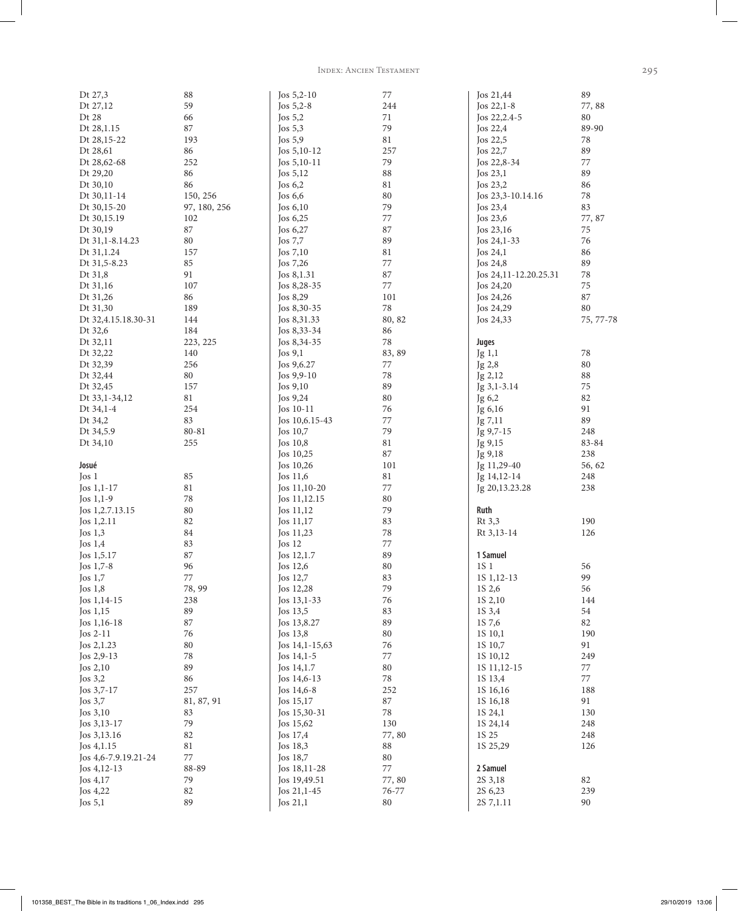Index: Ancien Testament 295

| Dt 27,3              | 88           | Jos $5,2-10$   | 77        | Jos 21,44             | 89        |
|----------------------|--------------|----------------|-----------|-----------------------|-----------|
| Dt 27,12             | 59           | Jos 5,2-8      | 244       | Jos 22,1-8            | 77,88     |
| Dt 28                | 66           | Jos $5,2$      | 71        | Jos 22, 2.4-5         | 80        |
| Dt 28,1.15           | 87           | Jos $5,3$      | 79        | Jos 22,4              | 89-90     |
| Dt 28,15-22          | 193          | Jos $5,9$      | $81\,$    | Jos 22,5              | $78\,$    |
| Dt 28,61             | 86           | Jos $5,10-12$  | 257       | $\text{Jos } 22,7$    | 89        |
| Dt 28,62-68          | 252          | Jos $5,10-11$  | 79        | Jos 22,8-34           | $77\,$    |
| Dt 29,20             | 86           | Jos $5,12$     | 88        | Jos 23,1              | 89        |
| Dt 30,10             | 86           | Jos $6,2$      | 81        | Jos $23,2$            | 86        |
| Dt 30,11-14          | 150, 256     | Jos $6,6$      | 80        | Jos 23,3-10.14.16     | $78\,$    |
| Dt 30,15-20          | 97, 180, 256 | Jos $6,10$     | 79        | Jos 23,4              | 83        |
| Dt 30,15.19          | 102          | Jos $6,25$     | 77        | Jos $23,6$            | 77,87     |
| Dt 30,19             | 87           | Jos $6,27$     | 87        | Jos 23,16             | 75        |
| Dt 31,1-8.14.23      | 80           | Jos $7,7$      | 89        | Jos $24,1-33$         | 76        |
| Dt 31,1.24           | 157          | Jos 7,10       | $81\,$    | Jos 24,1              | 86        |
| Dt 31,5-8.23         | 85           | Jos $7,26$     | 77        | Jos $24,8$            | 89        |
| Dt 31,8              | 91           | Jos 8,1.31     | 87        | Jos 24,11-12.20.25.31 | 78        |
| Dt 31,16             | 107          | Jos 8,28-35    | 77        | Jos 24,20             | 75        |
| Dt 31,26             | 86           | Jos 8,29       | 101       | Jos 24,26             | 87        |
| Dt 31,30             | 189          | Jos $8,30-35$  | $78\,$    | Jos 24,29             | 80        |
| Dt 32,4.15.18.30-31  | 144          | Jos 8,31.33    | 80, 82    | Jos 24,33             | 75, 77-78 |
| Dt 32,6              | 184          | Jos 8,33-34    | 86        |                       |           |
| Dt 32,11             | 223, 225     | Jos 8,34-35    | $78\,$    | <b>Juges</b>          |           |
| Dt 32,22             | 140          | Jos $9,1$      | 83, 89    | Jg 1,1                | 78        |
| Dt 32,39             | 256          | Jos 9,6.27     | 77        | Jg 2,8                | 80        |
| Dt 32,44             | 80           | Jos $9,9-10$   | $78\,$    | Jg 2,12               | 88        |
| Dt 32,45             | 157          | Jos 9,10       | 89        | Jg 3,1-3.14           | $75\,$    |
| Dt 33,1-34,12        | 81           | Jos $9,24$     | 80        | Jg 6,2                | 82        |
| Dt 34,1-4            | 254          | Jos $10-11$    | 76        | Jg 6,16               | 91        |
| Dt 34,2              | 83           | Jos 10,6.15-43 | 77        | Jg 7,11               | 89        |
| Dt 34,5.9            | 80-81        | Jos $10,7$     | 79        | Jg 9,7-15             | 248       |
| Dt 34,10             | 255          | Jos 10,8       | $81\,$    | Jg 9,15               | 83-84     |
|                      |              | Jos 10,25      | $87\,$    | Jg 9,18               | 238       |
| Josué                |              | Jos 10,26      | 101       | Jg 11,29-40           | 56, 62    |
| $\log 1$             | 85           | Jos $11,6$     | $81\,$    | Jg 14,12-14           | 248       |
| Jos 1,1-17           | 81           | Jos $11,10-20$ | 77        | Jg 20,13.23.28        | 238       |
| Jos $1,1-9$          | 78           | Jos 11,12.15   | 80        |                       |           |
| Jos 1,2.7.13.15      | 80           | Jos 11,12      | 79        | Ruth                  |           |
| Jos 1,2.11           | 82           | Jos 11,17      | 83        | Rt 3,3                | 190       |
| Jos $1,3$            | 84           | Jos 11,23      | 78        | Rt 3,13-14            | 126       |
| Jos $1,4$            | 83           | Jos $12$       | $77\,$    |                       |           |
| Jos 1,5.17           | 87           | Jos 12,1.7     | 89        | 1 Samuel              |           |
| Jos $1,7-8$          | 96           | Jos $12,6$     | 80        | 1S 1                  | 56        |
| Jos $1,7$            | $77\,$       | Jos 12,7       | 83        | 15 1, 12 - 13         | 99        |
| Jos $1,8$            | 78, 99       | Jos 12,28      | 79        | 1S 2,6                | 56        |
| Jos $1,14-15$        | 238          | Jos $13,1-33$  | 76        | 1S 2,10               | 144       |
| Jos $1,15$           | 89           | Jos 13,5       | 83        | 1S 3,4                | 54        |
| Jos $1,16-18$        | 87           | Jos 13,8.27    | 89        | 1S 7,6                | 82        |
| Jos $2-11$           | 76           | Jos 13,8       | 80        | 1S 10,1               | 190       |
| Jos 2,1.23           | 80           | Jos 14,1-15,63 | 76        | 1S 10,7               | 91        |
| Jos $2,9-13$         | 78           | Jos $14,1-5$   | 77        | 1S 10,12              | 249       |
| Jos $2,10$           | 89           | Jos 14,1.7     | 80        | 1S 11, 12 - 15        | 77        |
| Jos $3,2$            | 86           | Jos 14,6-13    | $78\,$    | 1S 13,4               | 77        |
| Jos 3,7-17           | 257          | Jos $14,6-8$   | 252       | 1S 16,16              | 188       |
| Jos $3,7$            | 81, 87, 91   | Jos 15,17      | $87\,$    | 1S 16,18              | 91        |
| Jos 3,10             | 83           | Jos 15,30-31   | $78\,$    | 1S 24,1               | 130       |
| Jos $3, 13-17$       | 79           | Jos 15,62      | 130       | 1S 24,14              | 248       |
| Jos 3,13.16          | 82           | Jos $17,4$     | 77,80     | 1S 25                 | 248       |
| Jos 4,1.15           | 81           | Jos 18,3       | $88\,$    | 1S 25,29              | 126       |
| Jos 4,6-7.9.19.21-24 | 77           | Jos 18,7       | $80\,$    |                       |           |
| Jos $4,12-13$        | 88-89        | Jos 18,11-28   | $77\,$    | 2 Samuel              |           |
| Jos 4,17             | 79           | Jos 19,49.51   | 77,80     | 2S 3,18               | 82        |
| Jos 4,22             | 82           | Jos 21,1-45    | $76 - 77$ | 2S 6,23               | 239       |
| Jos $5,1$            | 89           | Jos 21,1       | 80        | 2S 7, 1.11            | 90        |
|                      |              |                |           |                       |           |

 $\overline{\phantom{a}}$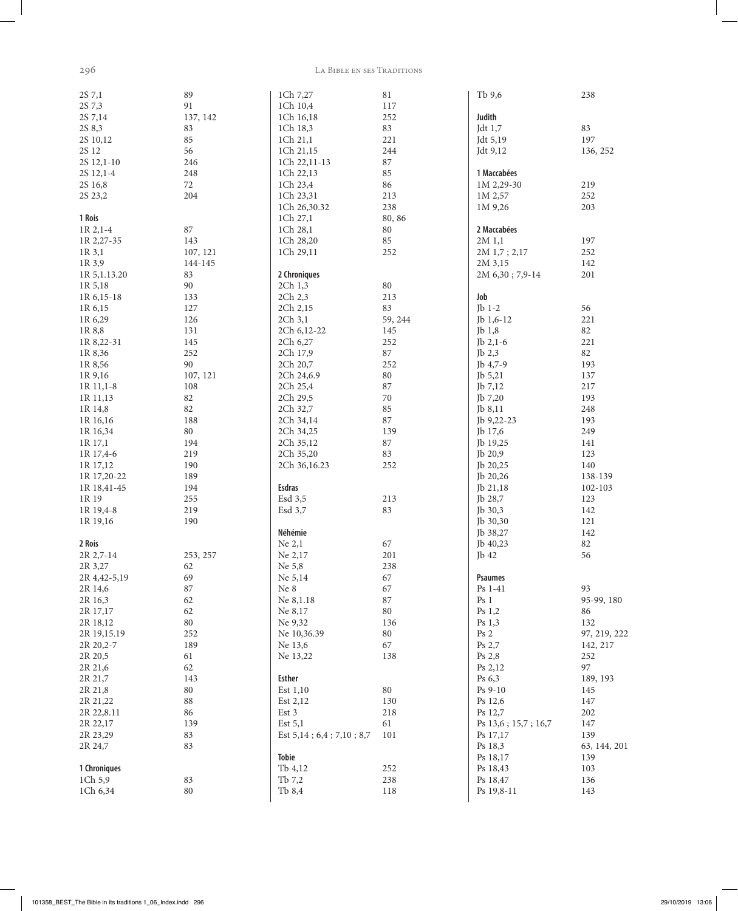$\overline{\phantom{a}}$ 

#### 296 La Bible en ses Traditions

| 2S 7,1           | 89       | 1Ch 7,27                            | $81\,$  | Tb 9,6              | 238          |
|------------------|----------|-------------------------------------|---------|---------------------|--------------|
| 2S 7,3           | 91       | 1Ch 10,4                            | 117     |                     |              |
| 2S 7,14          | 137, 142 | 1Ch 16,18                           | 252     | Judith              |              |
| 2S 8,3           | 83       | 1Ch 18,3                            | 83      | Jdt 1,7             | 83           |
| 2S 10,12         | 85       | 1Ch 21,1                            | 221     | Jdt 5,19            | 197          |
| 2S 12            | 56       | 1Ch 21,15                           | 244     | Jdt 9,12            | 136, 252     |
| 2S 12,1-10       | 246      | 1Ch 22,11-13                        | $87\,$  |                     |              |
| 2S 12,1-4        | 248      | 1Ch 22,13                           | 85      | 1 Maccabées         |              |
| 2S 16,8          | 72       | 1Ch 23,4                            | 86      | $1M$ 2,29-30        | 219          |
| 2S 23,2          | 204      | 1Ch 23,31                           | 213     | 1M 2,57             | 252          |
|                  |          | 1Ch 26,30.32                        | 238     | 1M 9,26             | 203          |
| 1 Rois           |          | 1Ch 27,1                            | 80, 86  |                     |              |
| 1R 2,1-4         | 87       | 1Ch 28,1                            | 80      | 2 Maccabées         |              |
| 1R 2,27-35       | 143      | 1Ch 28,20                           | 85      | 2M 1,1              | 197          |
|                  |          |                                     |         |                     |              |
| 1R 3,1           | 107, 121 | 1Ch 29,11                           | 252     | 2M 1,7; 2,17        | 252          |
| 1R 3,9           | 144-145  |                                     |         | 2M 3,15             | 142          |
| 1R 5, 1.13.20    | 83       | 2 Chroniques                        |         | 2M 6,30; 7,9-14     | 201          |
| 1R 5,18          | 90       | 2Ch 1,3                             | 80      |                     |              |
| 1R 6, 15-18      | 133      | 2Ch 2,3                             | 213     | Job                 |              |
| 1R 6,15          | 127      | 2Ch 2,15                            | 83      | Jb $1-2$            | 56           |
| 1R 6,29          | 126      | 2Ch 3,1                             | 59, 244 | Jb 1,6-12           | 221          |
| 1R 8,8           | 131      | 2Ch 6,12-22                         | 145     | Jb 1,8              | 82           |
| 1R 8,22-31       | 145      | 2Ch 6,27                            | 252     | Jb $2,1-6$          | 221          |
| 1R 8,36          | 252      | 2Ch 17,9                            | $87\,$  | Jb 2,3              | 82           |
| 1R 8,56          | 90       | 2Ch 20,7                            | 252     | Jb 4,7-9            | 193          |
| 1R 9,16          | 107, 121 | 2Ch 24,6.9                          | $80\,$  | Jb $5,21$           | 137          |
| 1R 11,1-8        | 108      | 2Ch 25,4                            | 87      | Jb 7,12             | 217          |
| 1R 11,13         | 82       | 2Ch 29,5                            | $70\,$  | Jb 7,20             | 193          |
| 1R 14,8          | 82       | 2Ch 32,7                            | 85      | Jb 8,11             | 248          |
| 1R 16,16         | 188      | 2Ch 34,14                           | $87\,$  | Jb 9,22-23          | 193          |
| 1R 16,34         | 80       | 2Ch 34,25                           | 139     | Jb 17,6             | 249          |
| 1R 17,1          | 194      | 2Ch 35,12                           | $87\,$  | Jb 19,25            | 141          |
| 1R 17,4-6        | 219      | 2Ch 35,20                           | 83      | Jb 20,9             | 123          |
| 1R 17,12         | 190      | 2Ch 36,16.23                        | 252     | Jb 20,25            | 140          |
| 1R 17,20-22      | 189      |                                     |         | Jb 20,26            | 138-139      |
| 1R 18,41-45      | 194      | <b>Esdras</b>                       |         | Jb 21,18            | 102-103      |
| 1R 19            | 255      | Esd 3,5                             | 213     | Jb 28,7             | 123          |
| 1R 19,4-8        | 219      | Esd 3,7                             | 83      | Jb 30,3             | 142          |
|                  | 190      |                                     |         |                     |              |
| 1R 19,16         |          |                                     |         | Jb 30,30            | 121          |
|                  |          | Néhémie                             |         | Jb 38,27            | 142          |
| 2 Rois           |          | Ne 2,1                              | 67      | Jb 40,23            | 82           |
| 2R 2,7-14        | 253, 257 | Ne 2,17                             | 201     | Jb 42               | 56           |
| 2R 3,27          | 62       | Ne 5,8                              | 238     |                     |              |
| 2R 4, 42 - 5, 19 | 69       | Ne 5,14                             | 67      | <b>Psaumes</b>      |              |
| 2R 14,6          | $87\,$   | Ne 8                                | 67      | Ps 1-41             | 93           |
| 2R 16,3          | 62       | Ne 8,1.18                           | $87\,$  | Ps <sub>1</sub>     | 95-99, 180   |
| 2R 17,17         | 62       | Ne 8,17                             | $80\,$  | Ps 1,2              | 86           |
| 2R 18,12         | $80\,$   | Ne 9,32                             | 136     | Ps 1,3              | 132          |
| 2R 19,15.19      | 252      | Ne 10,36.39                         | $80\,$  | Ps <sub>2</sub>     | 97, 219, 222 |
| 2R 20, 2-7       | 189      | Ne 13,6                             | 67      | Ps 2,7              | 142, 217     |
| 2R 20,5          | 61       | Ne 13,22                            | 138     | Ps 2,8              | 252          |
| 2R 21,6          | 62       |                                     |         | Ps 2,12             | 97           |
| 2R 21,7          | 143      | <b>Esther</b>                       |         | Ps 6,3              | 189, 193     |
| 2R 21,8          | 80       | Est 1,10                            | 80      | Ps 9-10             | 145          |
| 2R 21,22         | $\bf 88$ | Est 2,12                            | 130     | Ps 12,6             | 147          |
| 2R 22,8.11       | 86       | Est 3                               | 218     | Ps 12,7             | 202          |
| 2R 22,17         | 139      | Est $5,1$                           | 61      | Ps 13,6; 15,7; 16,7 | 147          |
| 2R 23,29         | 83       | Est $5,14$ ; $6,4$ ; $7,10$ ; $8,7$ | 101     | Ps 17,17            | 139          |
| 2R 24,7          | 83       |                                     |         | Ps 18,3             | 63, 144, 201 |
|                  |          | <b>Tobie</b>                        |         | Ps 18,17            | 139          |
| 1 Chroniques     |          | Tb 4,12                             | 252     | Ps 18,43            | 103          |
| 1Ch 5,9          | 83       | Tb 7,2                              | 238     | Ps 18,47            | 136          |
| 1Ch 6,34         | 80       | Tb 8,4                              | 118     | Ps 19,8-11          | 143          |
|                  |          |                                     |         |                     |              |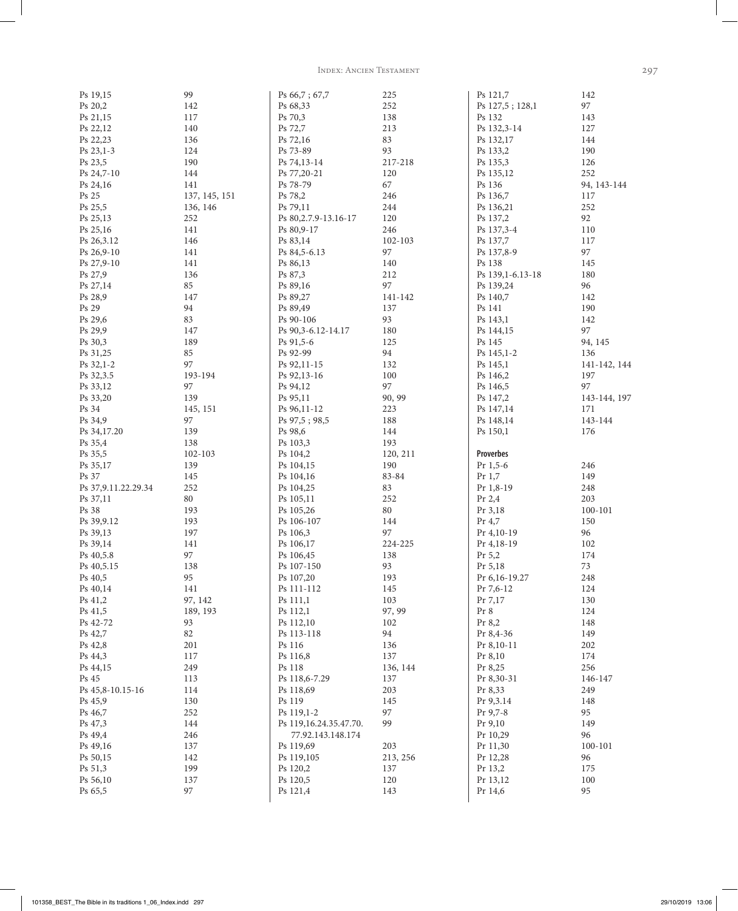Index: Ancien Testament 297

| Ps 19,15             | 99            | Ps 66,7; 67,7           | 225        | Ps 121,7            | 142          |
|----------------------|---------------|-------------------------|------------|---------------------|--------------|
| Ps 20,2              | 142           | Ps 68,33                | 252        | Ps 127,5; 128,1     | 97           |
| Ps 21,15             | 117           | Ps 70,3                 | 138        | Ps 132              | 143          |
| Ps 22,12             | 140           | Ps 72,7                 | 213        | Ps 132,3-14         | 127          |
|                      |               |                         |            |                     |              |
| Ps 22,23             | 136           | Ps 72,16                | 83         | Ps 132,17           | 144          |
| Ps 23,1-3            | 124           | Ps 73-89                | 93         | Ps 133,2            | 190          |
| Ps 23,5              | 190           | Ps 74,13-14             | 217-218    | Ps 135,3            | 126          |
| Ps 24,7-10           | 144           | Ps 77,20-21             | 120        | Ps 135,12           | 252          |
|                      |               |                         |            |                     |              |
| Ps 24,16             | 141           | Ps 78-79                | 67         | Ps 136              | 94, 143-144  |
| Ps 25                | 137, 145, 151 | Ps 78,2                 | 246        | Ps 136,7            | 117          |
| Ps 25,5              | 136, 146      | Ps 79,11                | 244        | Ps 136,21           | 252          |
| Ps 25,13             | 252           | Ps 80, 2.7. 9-13. 16-17 | 120        | Ps 137,2            | 92           |
|                      |               |                         |            |                     |              |
| Ps 25,16             | 141           | Ps 80,9-17              | 246        | Ps 137,3-4          | 110          |
| Ps 26,3.12           | 146           | Ps 83,14                | 102-103    | Ps 137,7            | 117          |
| Ps 26,9-10           | 141           | Ps 84,5-6.13            | 97         | Ps 137,8-9          | 97           |
| Ps 27,9-10           | 141           | Ps 86,13                | 140        | Ps 138              | 145          |
|                      |               |                         |            |                     |              |
| Ps 27,9              | 136           | Ps 87,3                 | 212        | Ps 139,1-6.13-18    | 180          |
| Ps 27,14             | 85            | Ps 89,16                | 97         | Ps 139,24           | 96           |
| Ps 28,9              | 147           | Ps 89,27                | 141-142    | Ps 140,7            | 142          |
| Ps 29                | 94            | Ps 89,49                | 137        | Ps 141              | 190          |
|                      |               |                         |            |                     |              |
| Ps 29,6              | 83            | Ps 90-106               | 93         | Ps 143,1            | 142          |
| Ps 29,9              | 147           | Ps 90,3-6.12-14.17      | 180        | Ps 144,15           | 97           |
| Ps 30,3              | 189           | Ps 91,5-6               | 125        | Ps 145              | 94, 145      |
| Ps 31,25             | 85            | Ps 92-99                | 94         | Ps 145,1-2          | 136          |
|                      |               |                         |            |                     |              |
| Ps 32,1-2            | 97            | Ps 92,11-15             | 132        | Ps 145,1            | 141-142, 144 |
| Ps 32,3.5            | 193-194       | Ps 92,13-16             | 100        | Ps 146,2            | 197          |
| Ps 33,12             | 97            | Ps 94,12                | 97         | Ps 146,5            | 97           |
| Ps 33,20             | 139           | Ps 95,11                | 90, 99     | Ps 147,2            | 143-144, 197 |
| Ps 34                |               |                         | 223        |                     |              |
|                      | 145, 151      | Ps 96,11-12             |            | Ps 147,14           | 171          |
| Ps 34,9              | 97            | Ps 97,5; 98,5           | 188        | Ps 148,14           | 143-144      |
| Ps 34,17.20          | 139           | Ps 98,6                 | 144        | Ps 150,1            | 176          |
|                      |               |                         |            |                     |              |
|                      |               |                         |            |                     |              |
| Ps 35,4              | 138           | Ps 103,3                | 193        |                     |              |
| Ps 35,5              | 102-103       | Ps 104,2                | 120, 211   | <b>Proverbes</b>    |              |
| Ps 35,17             | 139           | Ps 104,15               | 190        | $Pr$ 1,5-6          | 246          |
| Ps 37                | 145           | Ps 104,16               | 83-84      | $Pr$ 1,7            | 149          |
| Ps 37, 9.11.22.29.34 | 252           | Ps 104,25               | 83         | Pr 1,8-19           | 248          |
|                      |               |                         |            |                     |              |
| Ps 37,11             | 80            | Ps 105,11               | 252        | Pr $2,4$            | 203          |
| Ps 38                | 193           | Ps 105,26               | $80\,$     | Pr 3,18             | 100-101      |
| Ps 39, 9.12          | 193           | Ps 106-107              | 144        | Pr $4,7$            | 150          |
| Ps 39,13             | 197           | Ps 106,3                | 97         | Pr 4,10-19          | 96           |
|                      |               |                         |            |                     |              |
| Ps 39,14             | 141           | Ps 106,17               | 224-225    | Pr 4,18-19          | 102          |
| Ps 40,5.8            | 97            | Ps 106,45               | 138        | Pr 5,2              | 174          |
| Ps 40,5.15           | 138           | Ps 107-150              | 93         | Pr 5,18             | 73           |
| Ps 40,5              | 95            | Ps 107,20               | 193        | Pr 6,16-19.27       | 248          |
| Ps 40,14             | 141           | Ps 111-112              | 145        | Pr 7,6-12           | 124          |
|                      |               |                         |            | Pr 7,17             |              |
| Ps 41,2              | 97, 142       | Ps 111,1                | 103        |                     | 130          |
| Ps 41,5              | 189, 193      | Ps 112,1                | 97, 99     | Pr 8                | 124          |
| Ps 42-72             | 93            | Ps 112,10               | 102        | Pr 8,2              | 148          |
| Ps 42,7              | 82            | Ps 113-118              | 94         | Pr 8,4-36           | 149          |
| Ps 42,8              | 201           | Ps 116                  | 136        | Pr 8,10-11          | 202          |
|                      |               |                         |            |                     |              |
| Ps 44,3              | 117           | Ps 116,8                | 137        | Pr 8,10             | 174          |
| Ps 44,15             | 249           | Ps 118                  | 136, 144   | Pr 8,25             | 256          |
| Ps 45                | 113           | Ps 118,6-7.29           | 137        | Pr 8,30-31          | 146-147      |
| Ps 45,8-10.15-16     | 114           | Ps 118,69               | 203        | Pr 8,33             | 249          |
| Ps 45,9              | 130           | Ps 119                  | 145        | Pr 9,3.14           | 148          |
|                      |               |                         | 97         | Pr 9,7-8            | 95           |
| Ps 46,7              | 252           | Ps 119,1-2              |            |                     |              |
| Ps 47,3              | 144           | Ps 119,16.24.35.47.70.  | 99         | Pr 9,10             | 149          |
| Ps 49,4              | 246           | 77.92.143.148.174       |            | Pr 10,29            | 96           |
| Ps 49,16             | 137           | Ps 119,69               | 203        | Pr 11,30            | $100 - 101$  |
| Ps 50,15             | 142           | Ps 119,105              | 213, 256   | Pr 12,28            | 96           |
| Ps 51,3              | 199           | Ps 120,2                | 137        | Pr 13,2             | 175          |
|                      |               |                         |            |                     |              |
| Ps 56,10<br>Ps 65,5  | 137<br>97     | Ps 120,5<br>Ps 121,4    | 120<br>143 | Pr 13,12<br>Pr 14,6 | 100<br>95    |

101358\_BEST\_The Bible in its traditions 1\_06\_Index.indd 297 29/10/2019 13:06

 $\overline{\phantom{a}}$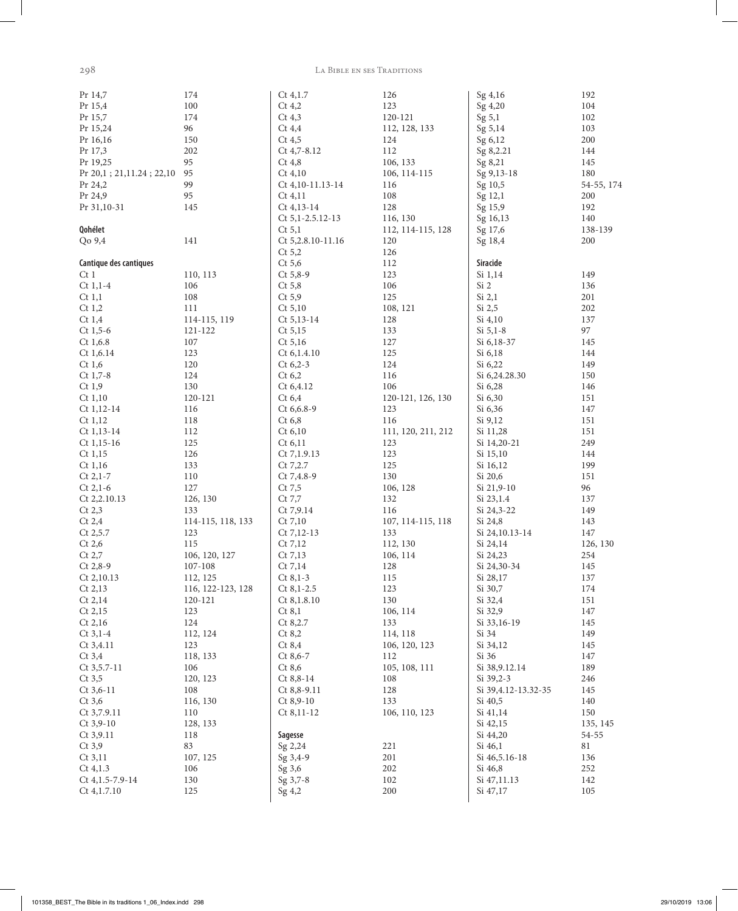298

 $\overline{\phantom{a}}$ 

#### LA BIBLE EN SES TRADITIONS

| Pr 14,7                  | 174               | $Ct$ 4,1.7        | 126                | Sg 4,16              | 192        |
|--------------------------|-------------------|-------------------|--------------------|----------------------|------------|
| Pr 15,4                  | 100               | $Ct$ 4,2          | 123                | Sg 4,20              | 104        |
| Pr 15,7                  | 174               | $Ct$ 4,3          | 120-121            | Sg 5,1               | 102        |
| Pr 15,24                 | 96                | $Ct$ 4,4          | 112, 128, 133      | Sg 5,14              | 103        |
| Pr 16,16                 | 150               | $Ct$ 4,5          | 124                | Sg 6,12              | 200        |
| Pr 17,3                  | 202               | Ct 4,7-8.12       | 112                | Sg 8,2.21            | 144        |
| Pr 19,25                 | 95                | $Ct$ 4,8          | 106, 133           | Sg 8,21              | 145        |
| Pr 20,1; 21,11.24; 22,10 | 95                | $Ct$ 4,10         | 106, 114-115       | Sg 9,13-18           | 180        |
| Pr 24,2                  | 99                |                   | 116                | Sg 10,5              |            |
|                          |                   | Ct 4, 10-11.13-14 |                    |                      | 54-55, 174 |
| Pr 24,9                  | 95                | $Ct$ 4,11         | 108                | Sg 12,1              | 200        |
| Pr 31,10-31              | 145               | $Ct$ 4,13-14      | 128                | Sg 15,9              | 192        |
|                          |                   | Ct 5,1-2.5.12-13  | 116, 130           | Sg 16,13             | 140        |
| Qohélet                  |                   | Ct 5,1            | 112, 114-115, 128  | Sg 17,6              | 138-139    |
| Qo 9,4                   | 141               | Ct 5,2.8.10-11.16 | 120                | Sg 18,4              | 200        |
|                          |                   | Ct 5,2            | 126                |                      |            |
| Cantique des cantiques   |                   | $Ct$ 5,6          | 112                | Siracide             |            |
| Ct1                      | 110, 113          | $Ct 5,8-9$        | 123                | Si 1,14              | 149        |
| $Ct$ 1,1-4               | 106               | $Ct$ 5,8          | 106                | Si 2                 | 136        |
| Ct 1,1                   | 108               | $Ct$ 5,9          | 125                | Si 2,1               | 201        |
|                          |                   |                   |                    |                      |            |
| $Ct$ 1,2                 | 111               | Ct 5,10           | 108, 121           | Si 2,5               | 202        |
| Ct1,4                    | 114-115, 119      | $Ct 5, 13-14$     | 128                | Si 4,10              | 137        |
| $Ct$ 1,5-6               | 121-122           | Ct 5,15           | 133                | $Si 5,1-8$           | 97         |
| $Ct$ 1,6.8               | 107               | Ct 5,16           | 127                | Si 6,18-37           | 145        |
| Ct 1, 6.14               | 123               | Ct 6, 1.4.10      | 125                | Si 6,18              | 144        |
| $Ct$ 1,6                 | 120               | $Ct 6,2-3$        | 124                | Si 6,22              | 149        |
| $Ct$ 1,7-8               | 124               | $Ct$ 6,2          | 116                | Si 6,24.28.30        | 150        |
| $Ct$ 1,9                 | 130               | Ct 6,4.12         | 106                | Si 6,28              | 146        |
| Ct 1,10                  | 120-121           | Ct 6,4            |                    | Si 6,30              | 151        |
|                          |                   |                   | 120-121, 126, 130  |                      |            |
| Ct 1,12-14               | 116               | Ct 6,6.8-9        | 123                | Si 6,36              | 147        |
| Ct 1,12                  | 118               | $Ct$ 6,8          | 116                | Si 9,12              | 151        |
| $Ct 1, 13-14$            | 112               | Ct 6,10           | 111, 120, 211, 212 | Si 11,28             | 151        |
| $Ct$ 1,15-16             | 125               | $Ct$ 6,11         | 123                | Si 14,20-21          | 249        |
| $Ct$ 1,15                | 126               | Ct 7,1.9.13       | 123                | Si 15,10             | 144        |
| Ct 1,16                  | 133               | Ct 7,2.7          | 125                | Si 16,12             | 199        |
| $Ct 2, 1-7$              | 110               | Ct 7,4.8-9        | 130                | Si 20,6              | 151        |
| $Ct$ 2,1-6               | 127               | $Ct$ 7,5          | 106, 128           | Si 21,9-10           | 96         |
| Ct 2,2.10.13             | 126, 130          | Ct 7,7            | 132                | Si 23,1.4            | 137        |
| Ct 2,3                   | 133               |                   |                    |                      |            |
|                          |                   | Ct 7,9.14         | 116                | Si 24,3-22           | 149        |
| Ct 2,4                   | 114-115, 118, 133 | Ct 7,10           | 107, 114-115, 118  | Si 24,8              | 143        |
| Ct 2,5.7                 | 123               | Ct 7,12-13        | 133                | Si 24, 10.13-14      | 147        |
| $Ct$ 2,6                 | 115               | Ct 7,12           | 112, 130           | Si 24,14             | 126, 130   |
| Ct 2,7                   | 106, 120, 127     | $Ct$ 7,13         | 106, 114           | Si 24,23             | 254        |
| $Ct 2,8-9$               | 107-108           | $Ct$ 7,14         | 128                | Si 24,30-34          | 145        |
| Ct 2,10.13               | 112, 125          | $Ct 8,1-3$        | 115                | Si 28,17             | 137        |
| Ct 2,13                  | 116, 122-123, 128 | $Ct 8, 1-2.5$     | 123                | Si 30,7              | 174        |
| Ct 2,14                  | 120-121           | Ct 8,1.8.10       | 130                | Si 32,4              | 151        |
| Ct 2,15                  | 123               | Ct 8,1            | 106, 114           | Si 32,9              | 147        |
| Ct 2,16                  | 124               | Ct 8,2.7          | 133                | Si 33,16-19          | 145        |
|                          |                   |                   |                    |                      |            |
| $Ct$ 3,1-4               | 112, 124          | Ct 8,2            | 114, 118           | Si 34                | 149        |
| Ct 3,4.11                | 123               | Ct 8,4            | 106, 120, 123      | Si 34,12             | 145        |
| $Ct$ 3,4                 | 118, 133          | $Ct 8,6-7$        | 112                | Si 36                | 147        |
| Ct 3,5.7-11              | 106               | Ct 8,6            | 105, 108, 111      | Si 38, 9.12.14       | 189        |
| $Ct$ 3,5                 | 120, 123          | $Ct 8,8-14$       | 108                | $Si$ 39,2-3          | 246        |
| $Ct$ 3,6-11              | 108               | Ct 8,8-9.11       | 128                | Si 39, 4.12-13.32-35 | 145        |
| $Ct$ 3,6                 | 116, 130          | $Ct 8,9-10$       | 133                | Si 40,5              | 140        |
| Ct 3,7.9.11              | 110               | Ct 8,11-12        | 106, 110, 123      | Si 41,14             | 150        |
| $Ct$ 3,9-10              | 128, 133          |                   |                    | Si 42,15             | 135, 145   |
|                          |                   |                   |                    |                      |            |
| $Ct$ 3,9.11              | 118               | Sagesse           |                    | Si 44,20             | $54 - 55$  |
| $Ct$ 3,9                 | 83                | Sg 2,24           | 221                | Si 46,1              | $81\,$     |
| $Ct$ 3,11                | 107, 125          | Sg 3,4-9          | 201                | Si 46,5.16-18        | 136        |
| Ct 4,1.3                 | 106               | Sg 3,6            | 202                | Si 46,8              | 252        |
| Ct 4, 1.5-7.9-14         | 130               | Sg 3,7-8          | 102                | Si 47,11.13          | 142        |
| Ct 4,1.7.10              | 125               | Sg 4,2            | 200                | Si 47,17             | 105        |
|                          |                   |                   |                    |                      |            |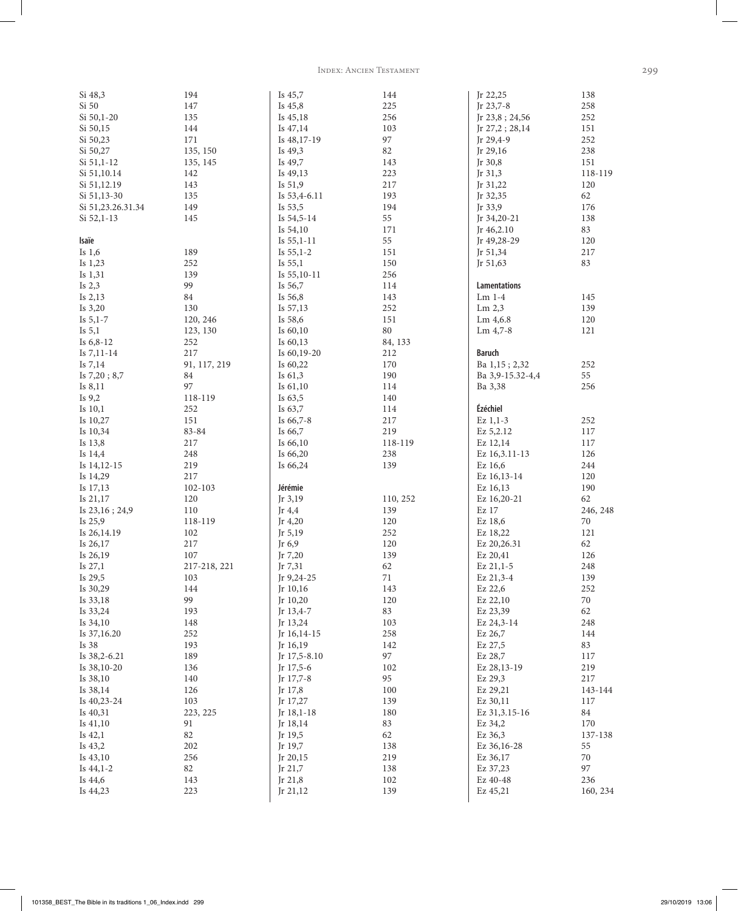INDEX: ANCIEN TESTAMENT

| Si 48,3           | 194          | Is 45,7       | 144      | Jr 22,25            | 138      |
|-------------------|--------------|---------------|----------|---------------------|----------|
| Si 50             | 147          | Is $45,8$     | 225      | Jr 23,7-8           | 258      |
| Si 50,1-20        | 135          | Is 45,18      | 256      | Jr 23,8; 24,56      | 252      |
| Si 50,15          | 144          | Is 47,14      | 103      | Jr $27,2; 28,14$    | 151      |
| Si 50,23          | 171          | Is 48,17-19   | 97       | Jr $29,4-9$         | 252      |
| Si 50,27          | 135, 150     | Is 49,3       | 82       | Jr 29,16            | 238      |
| $Si$ 51,1-12      | 135, 145     | Is 49,7       | 143      | Jr 30,8             | 151      |
| Si 51,10.14       | 142          | Is 49,13      | 223      | Jr $31,3$           | 118-119  |
| Si 51,12.19       | 143          | Is 51,9       | 217      | Jr 31,22            | 120      |
|                   |              |               |          |                     |          |
| Si 51,13-30       | 135          | Is 53,4-6.11  | 193      | Jr 32,35            | 62       |
| Si 51,23.26.31.34 | 149          | Is 53,5       | 194      | Jr 33,9             | 176      |
| $Si$ 52,1-13      | 145          | Is 54,5-14    | 55       | Jr 34,20-21         | 138      |
|                   |              | Is $54,10$    | 171      | Jr 46,2.10          | 83       |
| Isaïe             |              | Is $55,1-11$  | 55       | Jr 49,28-29         | 120      |
| Is $1,6$          | 189          | Is $55,1-2$   | 151      | Jr 51,34            | 217      |
| Is 1,23           | 252          | Is $55,1$     | 150      | Jr 51,63            | 83       |
| Is 1,31           | 139          | Is $55,10-11$ | 256      |                     |          |
| Is $2,3$          | 99           | Is 56,7       | 114      | <b>Lamentations</b> |          |
| Is $2,13$         | $\rm 84$     | Is 56,8       | 143      | $Lm$ 1-4            | 145      |
|                   |              |               |          |                     |          |
| Is $3,20$         | 130          | Is 57,13      | 252      | $\rm{Lm}$ 2,3       | 139      |
| Is $5,1-7$        | 120, 246     | Is 58,6       | 151      | Lm 4,6.8            | 120      |
| Is $5,1$          | 123, 130     | Is 60,10      | $80\,$   | $\rm{Lm}$ 4,7-8     | 121      |
| Is $6, 8-12$      | 252          | Is 60,13      | 84, 133  |                     |          |
| Is $7,11-14$      | 217          | Is 60,19-20   | 212      | <b>Baruch</b>       |          |
| Is $7,14$         | 91, 117, 219 | Is 60,22      | 170      | Ba 1,15; 2,32       | 252      |
| Is 7,20; 8,7      | 84           | Is $61,3$     | 190      | Ba 3,9-15.32-4,4    | 55       |
| Is 8,11           | 97           | Is $61,10$    | 114      | Ba 3,38             | 256      |
| Is 9,2            | 118-119      | Is $63,5$     | 140      |                     |          |
|                   |              |               |          |                     |          |
| Is 10,1           | 252          | Is 63,7       | 114      | Ézéchiel            |          |
| Is 10,27          | 151          | Is 66,7-8     | 217      | $Ex\ 1,1-3$         | 252      |
| Is 10,34          | 83-84        | Is 66,7       | 219      | Ez 5,2.12           | 117      |
| Is 13,8           | 217          | Is 66,10      | 118-119  | Ez 12,14            | 117      |
| Is 14,4           | 248          | Is 66,20      | 238      | Ez 16,3.11-13       | 126      |
| Is $14,12-15$     | 219          | Is 66,24      | 139      | Ez 16,6             | 244      |
| Is 14,29          | 217          |               |          | Ez 16,13-14         | 120      |
| Is 17,13          | 102-103      | Jérémie       |          | Ez 16,13            | 190      |
| Is 21,17          | 120          | Jr $3,19$     | 110, 252 | Ez 16,20-21         | 62       |
| Is 23,16; 24,9    | 110          | Jr $4,4$      | 139      | Ez 17               | 246, 248 |
|                   |              |               |          |                     |          |
| Is 25,9           | 118-119      | Jr $4,20$     | 120      | Ez 18,6             | 70       |
| Is 26,14.19       | 102          | Jr $5,19$     | 252      | Ez 18,22            | 121      |
| Is 26,17          | $217\,$      | Jr 6,9        | 120      | Ez 20,26.31         | 62       |
| Is 26,19          | 107          | Jr 7,20       | 139      | Ez 20,41            | 126      |
| Is 27,1           | 217-218, 221 | Jr 7,31       | 62       | Ez 21,1-5           | 248      |
| Is 29,5           | 103          | Jr 9,24-25    | 71       | Ez 21,3-4           | 139      |
| Is 30,29          | 144          | Jr 10,16      | 143      | Ez 22,6             | 252      |
| Is 33,18          | 99           | Jr 10,20      | 120      | Ez 22,10            | 70       |
| Is 33,24          | 193          | Jr 13,4-7     | 83       | Ez 23,39            | 62       |
| Is 34,10          | 148          | Jr 13,24      | 103      | Ez 24,3-14          | 248      |
| Is 37,16.20       | 252          |               | 258      | Ez 26,7             | 144      |
|                   |              | Jr 16,14-15   |          |                     |          |
| Is 38             | 193          | Jr 16,19      | 142      | Ez 27,5             | 83       |
| Is 38,2-6.21      | 189          | Jr 17,5-8.10  | 97       | Ez 28,7             | 117      |
| Is 38,10-20       | 136          | Jr 17,5-6     | 102      | Ez 28,13-19         | 219      |
| Is 38,10          | 140          | Jr 17,7-8     | 95       | Ez 29,3             | 217      |
| Is 38,14          | 126          | Jr 17,8       | 100      | Ez 29,21            | 143-144  |
| Is 40,23-24       | 103          | Jr 17,27      | 139      | Ez 30,11            | 117      |
| Is 40,31          | 223, 225     | Jr 18,1-18    | 180      | Ez 31,3.15-16       | 84       |
| Is $41,10$        | 91           | Jr 18,14      | 83       | Ez 34,2             | 170      |
| Is $42,1$         | $82\,$       | Jr 19,5       | 62       | Ez 36,3             | 137-138  |
|                   | 202          |               |          |                     |          |
| Is 43,2           |              | Jr 19,7       | 138      | Ez 36,16-28         | 55       |
| Is 43,10          | 256          | Jr 20,15      | 219      | Ez 36,17            | 70       |
| Is $44,1-2$       | $82\,$       | Jr 21,7       | 138      | Ez 37,23            | 97       |
| Is 44,6           | 143          | Jr 21,8       | 102      | Ez 40-48            | 236      |
| Is 44,23          | 223          | Jr 21,12      | 139      | Ez 45,21            | 160, 234 |
|                   |              |               |          |                     |          |

 $\overline{\phantom{a}}$ 

299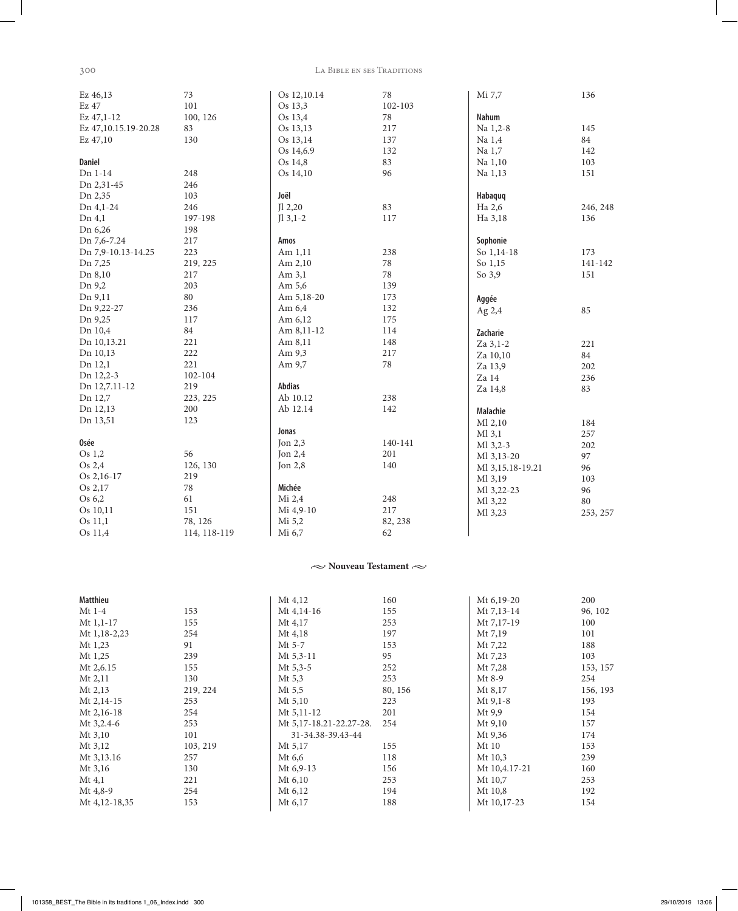300

 $\overline{\phantom{a}}$ 

#### LA BIBLE EN SES TRADITIONS

| Ez 46,13             | 73           | Os 12,10.14   | $78\,$  | Mi 7,7           | 136      |
|----------------------|--------------|---------------|---------|------------------|----------|
| Ez 47                | 101          | Os 13,3       | 102-103 |                  |          |
| Ez 47,1-12           | 100, 126     | Os 13,4       | $78\,$  | Nahum            |          |
| Ez 47,10.15.19-20.28 | 83           | Os 13,13      | 217     | Na 1,2-8         | 145      |
| Ez 47,10             | 130          | Os 13,14      | 137     | Na 1,4           | 84       |
|                      |              | Os 14,6.9     | 132     | Na 1,7           | 142      |
| <b>Daniel</b>        |              | Os 14,8       | 83      | Na 1,10          | 103      |
| Dn 1-14              | 248          | Os 14,10      | 96      | Na 1,13          | 151      |
| Dn 2,31-45           | 246          |               |         |                  |          |
| Dn 2,35              | 103          | Joël          |         | Habaquq          |          |
| Dn 4,1-24            | 246          | J12,20        | 83      | Ha 2,6           | 246, 248 |
| Dn 4,1               | 197-198      | $J1$ 3,1-2    | 117     | Ha 3,18          | 136      |
| Dn 6,26              | 198          |               |         |                  |          |
| Dn 7,6-7.24          | 217          | Amos          |         | Sophonie         |          |
| Dn 7,9-10.13-14.25   | 223          | Am 1,11       | 238     | So 1,14-18       | 173      |
| Dn 7,25              | 219, 225     | Am 2,10       | $78\,$  | So 1,15          | 141-142  |
| Dn 8,10              | 217          | Am $3,1$      | 78      | So 3,9           | 151      |
| Dn 9,2               | 203          | Am 5,6        | 139     |                  |          |
| Dn 9,11              | 80           | Am 5,18-20    | 173     | Aggée            |          |
| Dn 9,22-27           | 236          | Am 6,4        | 132     | Ag 2,4           | 85       |
| Dn 9,25              | 117          | Am 6,12       | 175     |                  |          |
| Dn 10,4              | 84           | Am 8,11-12    | 114     | Zacharie         |          |
| Dn 10,13.21          | 221          | Am 8,11       | 148     | Za 3,1-2         | 221      |
| Dn 10,13             | 222          | Am 9,3        | 217     | Za 10,10         | 84       |
| Dn 12,1              | 221          | Am 9,7        | $78\,$  | Za 13,9          | 202      |
| Dn 12,2-3            | 102-104      |               |         | Za 14            | 236      |
| Dn 12,7.11-12        | 219          | <b>Abdias</b> |         | Za 14,8          | 83       |
| Dn 12,7              | 223, 225     | Ab 10.12      | 238     |                  |          |
| Dn 12,13             | 200          | Ab 12.14      | 142     | Malachie         |          |
| Dn 13,51             | 123          |               |         | Ml 2,10          | 184      |
|                      |              | Jonas         |         | $M1$ 3,1         | 257      |
| Osée                 |              | Jon $2,3$     | 140-141 | Ml 3,2-3         | 202      |
| Os 1,2               | 56           | Jon $2,4$     | 201     | Ml 3,13-20       | 97       |
| Os 2,4               | 126, 130     | Jon $2,8$     | 140     | Ml 3,15.18-19.21 | 96       |
| Os 2,16-17           | 219          |               |         | Ml 3,19          | 103      |
| Os 2,17              | $78\,$       | Michée        |         | Ml 3,22-23       | 96       |
| Os 6,2               | 61           | Mi 2,4        | 248     | Ml 3,22          | 80       |
| Os 10,11             | 151          | Mi 4,9-10     | 217     | Ml 3,23          | 253, 257 |
| Os 11,1              | 78, 126      | Mi 5,2        | 82, 238 |                  |          |
| Os 11,4              | 114, 118-119 | Mi 6,7        | 62      |                  |          |

## $\sim$  Nouveau Testament $\sim$

| Matthieu       |          | Mt 4,12                 | 160     | Mt 6,19-20    | 200      |
|----------------|----------|-------------------------|---------|---------------|----------|
| Mt 1-4         | 153      | Mt 4,14-16              | 155     | Mt 7,13-14    | 96, 102  |
| Mt $1,1-17$    | 155      | Mt 4,17                 | 253     | Mt 7,17-19    | 100      |
| Mt $1,18-2,23$ | 254      | Mt 4,18                 | 197     | Mt 7,19       | 101      |
| Mt 1,23        | 91       | Mt 5-7                  | 153     | Mt 7,22       | 188      |
| Mt 1,25        | 239      | $Mt$ 5,3-11             | 95      | Mt 7,23       | 103      |
| Mt 2,6.15      | 155      | Mt $5,3-5$              | 252     | Mt 7,28       | 153, 157 |
| $Mt$ 2,11      | 130      | Mt $5,3$                | 253     | $Mt8-9$       | 254      |
| $Mt$ 2,13      | 219, 224 | $Mt$ 5,5                | 80, 156 | Mt 8,17       | 156, 193 |
| Mt 2,14-15     | 253      | Mt 5,10                 | 223     | $Mt$ 9,1-8    | 193      |
| Mt 2,16-18     | 254      | Mt $5,11-12$            | 201     | $Mt$ 9,9      | 154      |
| Mt 3,2.4-6     | 253      | Mt 5,17-18.21-22.27-28. | 254     | Mt 9,10       | 157      |
| $Mt$ 3,10      | 101      | 31-34.38-39.43-44       |         | Mt 9,36       | 174      |
| Mt 3,12        | 103, 219 | Mt 5,17                 | 155     | Mt 10         | 153      |
| Mt 3,13.16     | 257      | Mt 6,6                  | 118     | Mt 10.3       | 239      |
| Mt 3,16        | 130      | Mt $6,9-13$             | 156     | Mt 10,4.17-21 | 160      |
| $Mt$ 4,1       | 221      | Mt 6,10                 | 253     | Mt 10,7       | 253      |
| Mt 4,8-9       | 254      | Mt 6,12                 | 194     | Mt 10,8       | 192      |
| Mt 4,12-18,35  | 153      | Mt 6,17                 | 188     | Mt 10,17-23   | 154      |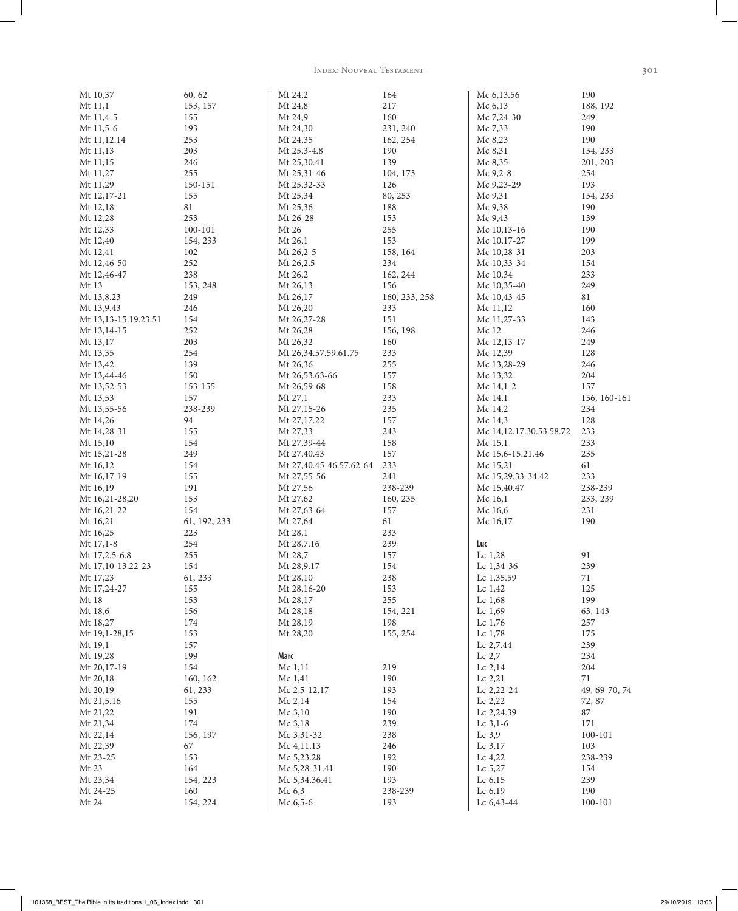Index: Nouveau Testament 301

| Mt 10,37             | 60, 62          | Mt 24,2                 | 164           | Mc 6,13.56              | 190           |
|----------------------|-----------------|-------------------------|---------------|-------------------------|---------------|
| Mt 11,1              | 153, 157        | Mt 24,8                 | 217           | Mc 6,13                 | 188, 192      |
| Mt 11,4-5            | 155             | Mt 24,9                 | 160           | Mc 7,24-30              | 249           |
| Mt 11,5-6            | 193             | Mt 24,30                | 231, 240      | Mc 7,33                 | 190           |
| Mt 11,12.14          | 253             | Mt 24,35                | 162, 254      | Mc 8,23                 | 190           |
| Mt 11,13             | 203             | Mt 25,3-4.8             | 190           | Mc 8,31                 | 154, 233      |
| Mt 11,15             | 246             | Mt 25,30.41             | 139           | Mc 8,35                 | 201, 203      |
| Mt 11,27             | 255             | Mt 25,31-46             | 104, 173      | Mc 9,2-8                | 254           |
| Mt 11,29             | 150-151         | Mt 25,32-33             | 126           | Mc 9,23-29              | 193           |
| Mt 12,17-21          | 155             | Mt 25,34                | 80, 253       | Mc 9,31                 | 154, 233      |
| Mt 12,18             | $81\,$          | Mt 25,36                | 188           | Mc 9,38                 | 190           |
| Mt 12,28             | 253             | Mt 26-28                | 153           | Mc 9,43                 | 139           |
| Mt 12,33             | 100-101         | Mt 26                   | 255           | Mc 10,13-16             | 190           |
| Mt 12,40             | 154, 233        | Mt 26,1                 | 153           | Mc 10,17-27             | 199           |
| Mt 12,41             | 102             | Mt 26,2-5               | 158, 164      | Mc 10,28-31             | 203           |
| Mt 12,46-50          | 252             | Mt 26,2.5               | 234           | Mc 10,33-34             | 154           |
| Mt 12,46-47          | 238             | Mt 26,2                 | 162, 244      | Mc 10,34                | 233           |
| Mt 13                | 153, 248        | Mt 26,13                | 156           | Mc 10,35-40             | 249           |
| Mt 13,8.23           | 249             | Mt 26,17                | 160, 233, 258 | Mc 10,43-45             | 81            |
| Mt 13,9.43           | 246             | Mt 26,20                | 233           | Mc 11,12                | 160           |
| Mt 13,13-15.19.23.51 | 154             | Mt 26,27-28             | 151           | Mc 11,27-33             | 143           |
| Mt 13,14-15          | 252             | Mt 26,28                | 156, 198      | Mc 12                   | 246           |
| Mt 13,17             | 203             | Mt 26,32                | 160           | Mc 12,13-17             | 249           |
| Mt 13,35             | 254             | Mt 26,34.57.59.61.75    | 233           | Mc 12,39                | 128           |
| Mt 13,42             | 139             | Mt 26,36                | 255           | Mc 13,28-29             | 246           |
| Mt 13,44-46          | 150             | Mt 26,53.63-66          | 157           | Mc 13,32                | 204           |
| Mt 13,52-53          | 153-155         | Mt 26,59-68             | 158           | Mc $14,1-2$             | 157           |
| Mt 13,53             | 157             | Mt 27,1                 | 233           | Mc 14,1                 | 156, 160-161  |
| Mt 13,55-56          | 238-239         | Mt 27,15-26             | 235           | Mc 14,2                 | 234           |
| Mt 14,26             | 94              | Mt 27,17.22             | 157           | Mc $14,3$               | 128           |
| Mt 14,28-31          | 155             | Mt 27,33                | 243           | Mc 14,12.17.30.53.58.72 | 233           |
| Mt 15,10             | 154             | Mt 27,39-44             | 158           | Mc 15,1                 | 233           |
| Mt 15,21-28          | 249             | Mt 27,40.43             | 157           | Mc 15,6-15.21.46        | 235           |
| Mt 16,12             | 154             | Mt 27,40.45-46.57.62-64 | 233           | Mc 15,21                | 61            |
| Mt 16,17-19          | 155             | Mt 27,55-56             | 241           | Mc 15,29.33-34.42       | 233           |
| Mt 16,19             | 191             | Mt 27,56                | 238-239       | Mc 15,40.47             | 238-239       |
| Mt 16,21-28,20       | 153             | Mt 27,62                | 160, 235      | Mc 16,1                 | 233, 239      |
| Mt 16,21-22          | 154             | Mt 27,63-64             | 157           | Mc 16,6                 | 231           |
| Mt 16,21             | 61, 192, 233    | Mt 27,64                | 61            | Mc 16,17                | 190           |
| Mt 16,25             | 223             | Mt 28,1                 | 233           |                         |               |
| $Mt$ 17,1-8          | $254\,$         | Mt 28,7.16              | 239           | Luc                     |               |
| Mt 17,2.5-6.8        | 255             | Mt 28,7                 | 157           | Lc $1,28$               | 91            |
| Mt 17,10-13.22-23    | 154             | Mt 28,9.17              | 154           | Lc 1,34-36              | 239           |
| Mt 17,23             | 61, 233         | Mt 28,10                | 238           | Lc 1,35.59              | 71            |
| Mt 17,24-27          | 155             | Mt 28,16-20             | 153           | Lc 1,42                 | 125           |
| Mt 18                | 153             | Mt 28,17                | 255           | Lc 1,68                 | 199           |
| Mt 18,6              | 156             | Mt 28,18                | 154, 221      | Lc $1,69$               | 63, 143       |
| Mt 18,27             | 174             | Mt 28,19                | 198           | Lc $1,76$               | 257           |
| Mt 19,1-28,15        | 153             | Mt 28,20                | 155, 254      | Lc $1,78$               | 175           |
| Mt 19,1              | 157             |                         |               | Lc 2,7.44               | 239           |
| Mt 19,28             | 199             | Marc                    |               | Lc 2,7                  | 234           |
| Mt 20,17-19          | 154             | Mc 1,11                 | 219           | Lc 2,14                 | 204           |
| Mt 20,18             | 160, 162        | Mc 1,41                 | 190           | Lc 2,21                 | 71            |
| Mt 20,19             | 61, 233         | Mc 2,5-12.17            | 193           | Lc 2,22-24              | 49, 69-70, 74 |
| Mt 21,5.16           | 155             | Mc $2,14$               | 154           | Lc 2,22                 | 72, 87        |
| Mt 21,22             | 191             | Mc $3,10$               | 190           | Lc 2,24.39              | 87            |
| Mt 21,34             | 174             | Mc 3,18                 | 239           | Lc $3,1-6$              | 171           |
| Mt 22,14             | 156, 197        | Mc 3,31-32              | 238           | Lc $3,9$                | 100-101       |
| Mt 22,39             | 67              | Mc $4,11.13$            | 246           | Lc 3,17                 | 103           |
| Mt 23-25             | 153             | Mc 5,23.28              | 192           | Lc $4,22$               | 238-239       |
| Mt 23<br>Mt 23,34    | 164<br>154, 223 | Mc 5,28-31.41           | 190<br>193    | Lc $5,27$<br>Lc 6,15    | 154<br>239    |
| Mt 24-25             | 160             | Mc 5,34.36.41<br>Mc 6,3 | 238-239       | Lc 6,19                 | 190           |
| Mt 24                | 154, 224        | Mc $6,5-6$              | 193           | Lc 6,43-44              | 100-101       |
|                      |                 |                         |               |                         |               |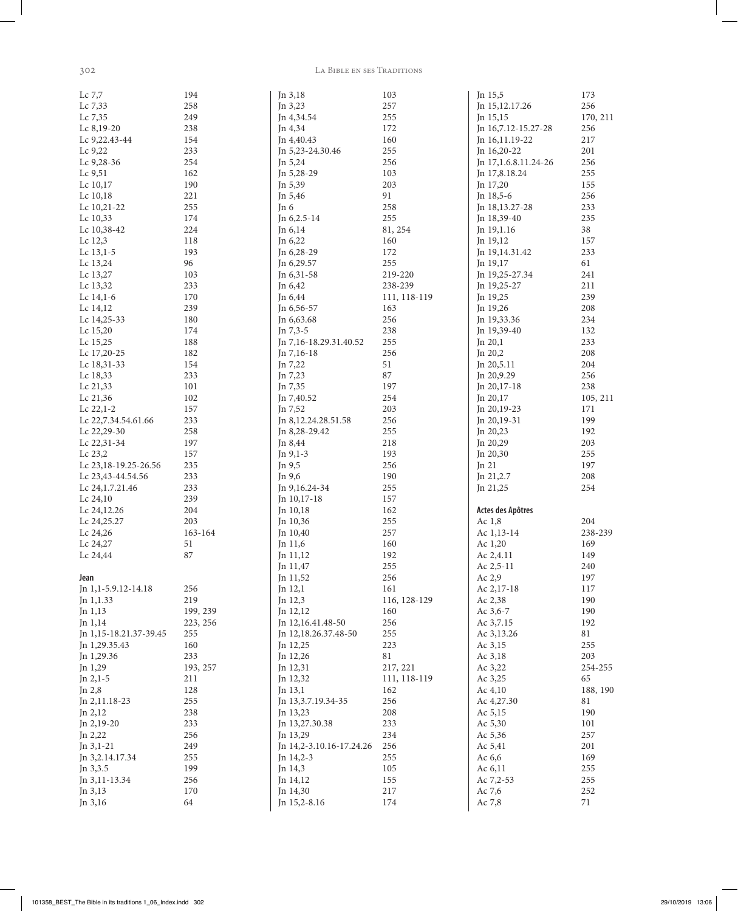$302$ 

#### LA BIBLE EN SES TRADITIONS

| Lc 7,7                     | 194        | Jn 3,18                  | 103          | Jn 15,5                    | 173             |
|----------------------------|------------|--------------------------|--------------|----------------------------|-----------------|
| Lc 7,33                    | 258        | Jn 3,23                  | 257          | Jn 15,12.17.26             | 256             |
| Lc 7,35                    | 249        | Jn 4,34.54               | 255          | Jn 15,15                   | 170, 211        |
| Lc 8,19-20                 | 238        | Jn 4,34                  | 172          | Jn 16,7.12-15.27-28        | 256             |
| Lc 9,22.43-44              | 154        | In 4,40.43               | 160          | $In 16, 11.19-22$          | 217             |
| Lc 9,22                    | 233        | In 5,23-24.30.46         | 255          | Jn $16,20-22$              | 201             |
| Lc 9,28-36                 | 254        | Jn 5,24                  | 256          | Jn 17,1.6.8.11.24-26       | 256             |
| Lc 9,51                    | 162        | Jn 5,28-29               | 103          | Jn 17,8.18.24              | 255             |
| Lc 10,17                   | 190        | Jn 5,39                  | 203          | Jn 17,20                   | 155             |
| Lc $10,18$                 | 221        | In 5,46                  | 91           | In $18,5-6$                | 256             |
| Lc 10,21-22                | 255        | Jn 6                     | 258          | Jn 18,13.27-28             | 233             |
| Lc 10,33                   | 174        | Jn 6,2.5-14              | 255          | Jn 18,39-40                | 235             |
| Lc 10,38-42                | 224        | Jn 6,14                  | 81, 254      | Jn 19,1.16                 | 38              |
| Lc 12,3                    | 118        | Jn 6,22                  | 160          | Jn 19,12                   | 157             |
| Lc 13,1-5                  | 193        | Jn 6,28-29               | 172          | Jn 19,14.31.42             | 233             |
| Lc 13,24                   | 96         | Jn 6,29.57               | 255          | Jn $19,17$                 | 61              |
| Lc 13,27                   | 103        | Jn 6,31-58               | 219-220      | Jn 19,25-27.34             | 241             |
| Lc 13,32                   | 233        | In $6,42$                | 238-239      | Jn 19,25-27                | 211             |
| Lc $14,1-6$                | 170        | Jn 6,44                  | 111, 118-119 | Jn 19,25                   | 239             |
| Lc 14,12                   | 239        | Jn 6,56-57               | 163          | Jn 19,26                   | 208             |
| Lc $14,25-33$              | 180        | Jn 6,63.68               | 256          | In 19,33.36                | 234             |
| Lc 15,20                   | 174        | Jn 7,3-5                 | 238          | Jn 19,39-40                | 132             |
| Lc 15,25                   | 188        | Jn 7,16-18.29.31.40.52   | 255          | Jn $20,1$                  | 233             |
| Lc 17,20-25                | 182        | Jn 7,16-18               | 256          | Jn $20,2$                  | 208             |
| Lc 18,31-33                | 154        | Jn 7,22                  | 51           | Jn 20,5.11                 | 204             |
| Lc 18,33                   | 233        | Jn 7,23                  | 87           | Jn 20,9.29                 | 256             |
| Lc 21,33                   | 101        | Jn 7,35                  | 197          | Jn 20,17-18                | 238             |
| Lc 21,36<br>Lc $22,1-2$    | 102<br>157 | Jn 7,40.52<br>Jn 7,52    | 254<br>203   | Jn 20,17<br>$In 20, 19-23$ | 105, 211<br>171 |
|                            |            |                          | 256          |                            |                 |
| Lc 22,7.34.54.61.66        | 233<br>258 | Jn 8,12.24.28.51.58      | 255          | $In 20, 19-31$             | 199<br>192      |
| Lc 22,29-30<br>Lc 22,31-34 | 197        | Jn 8,28-29.42<br>Jn 8,44 | 218          | Jn $20,23$<br>Jn 20,29     | 203             |
| Lc 23,2                    | 157        | Jn $9,1-3$               | 193          | Jn 20,30                   | 255             |
| Lc 23, 18-19. 25-26.56     | 235        | Jn 9,5                   | 256          | Jn $21$                    | 197             |
| Lc 23,43-44.54.56          | 233        | Jn 9,6                   | 190          | Jn 21,2.7                  | 208             |
| Lc 24, 1.7. 21. 46         | 233        | Jn 9,16.24-34            | 255          | Jn $21,25$                 | 254             |
| Lc $24,10$                 | 239        | Jn 10,17-18              | 157          |                            |                 |
| Lc 24,12.26                | 204        | Jn 10,18                 | 162          | Actes des Apôtres          |                 |
| Lc 24,25.27                | 203        | Jn 10,36                 | 255          | Ac 1,8                     | 204             |
| Lc 24,26                   | 163-164    | Jn 10,40                 | 257          | Ac 1,13-14                 | 238-239         |
| Lc 24,27                   | 51         | Jn $11,6$                | 160          | Ac $1,20$                  | 169             |
| Lc 24,44                   | 87         | Jn 11,12                 | 192          | Ac 2,4.11                  | 149             |
|                            |            | Jn 11,47                 | 255          | Ac 2,5-11                  | 240             |
| Jean                       |            | Jn 11,52                 | 256          | Ac 2,9                     | 197             |
| Jn 1,1-5.9.12-14.18        | 256        | Jn $12,1$                | 161          | Ac 2,17-18                 | 117             |
| Jn 1,1.33                  | 219        | Jn 12,3                  | 116, 128-129 | Ac 2,38                    | 190             |
| Jn 1,13                    | 199, 239   | Jn 12,12                 | 160          | Ac $3,6-7$                 | 190             |
| Jn $1,14$                  | 223, 256   | Jn 12,16.41.48-50        | 256          | Ac 3,7.15                  | 192             |
| Jn 1,15-18.21.37-39.45     | 255        | Jn 12,18.26.37.48-50     | 255          | Ac 3,13.26                 | 81              |
| Jn 1,29.35.43              | 160        | Jn 12,25                 | 223          | Ac 3,15                    | 255             |
| Jn 1,29.36                 | 233        | Jn 12,26                 | 81           | Ac 3,18                    | 203             |
| Jn 1,29                    | 193, 257   | Jn 12,31                 | 217, 221     | Ac 3,22                    | 254-255         |
| Jn $2,1-5$                 | 211        | Jn 12,32                 | 111, 118-119 | Ac 3,25                    | 65              |
| Jn 2,8                     | 128        | Jn 13,1                  | 162          | Ac $4,10$                  | 188, 190        |
| Jn 2,11.18-23              | 255        | Jn 13,3.7.19.34-35       | 256          | Ac 4,27.30                 | 81              |
| Jn 2,12                    | 238        | Jn 13,23                 | 208          | Ac 5,15                    | 190             |
| Jn $2,19-20$               | 233        | Jn 13,27.30.38           | 233          | Ac 5,30                    | 101             |
| Jn $2,22$                  | 256        | Jn 13,29                 | 234          | Ac 5,36                    | 257             |
| Jn $3,1-21$                | 249        | Jn 14,2-3.10.16-17.24.26 | 256          | Ac 5,41                    | 201             |
| Jn 3,2.14.17.34            | 255        | Jn $14,2-3$              | 255          | Ac $6,6$                   | 169             |
| Jn 3,3.5                   | 199        | Jn 14,3                  | 105          | Ac $6,11$                  | 255             |
| Jn 3,11-13.34              | 256        | Jn 14,12                 | 155          | Ac 7,2-53                  | 255             |
| Jn 3,13                    | 170        | Jn 14,30                 | 217          | Ac 7,6                     | 252             |
| Jn 3,16                    | 64         | Jn 15,2-8.16             | 174          | Ac 7,8                     | 71              |
|                            |            |                          |              |                            |                 |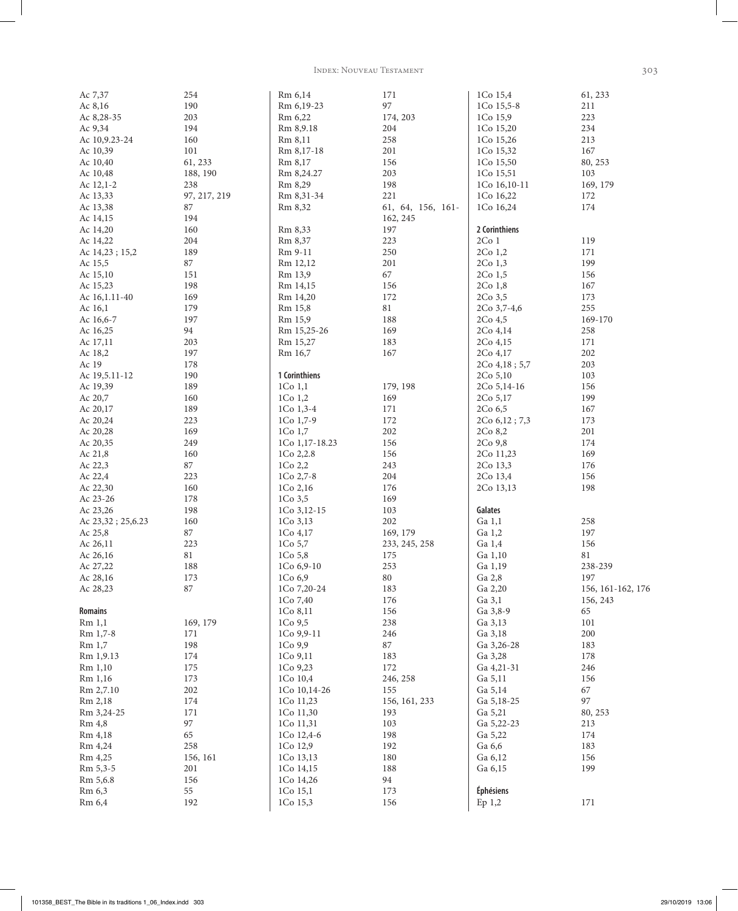Index: Nouveau Testament 303

| Ac 7,37           | 254          | Rm 6,14            | 171               | 1Co 15,4         | 61, 233           |
|-------------------|--------------|--------------------|-------------------|------------------|-------------------|
| Ac 8,16           | 190          | Rm 6,19-23         | 97                | 1Co 15,5-8       | 211               |
| Ac 8,28-35        | 203          | Rm 6,22            | 174, 203          | 1Co 15,9         | 223               |
| Ac 9,34           | 194          | Rm 8,9.18          | 204               | 1Co 15,20        | 234               |
| Ac 10,9.23-24     | 160          | Rm 8,11            | 258               | 1Co 15,26        | 213               |
| Ac 10,39          | 101          | Rm 8,17-18         | 201               | 1Co 15,32        | 167               |
|                   |              |                    |                   |                  |                   |
| Ac 10,40          | 61, 233      | Rm 8,17            | 156               | 1Co 15,50        | 80, 253           |
| Ac 10,48          | 188, 190     | Rm 8,24.27         | 203               | 1Co 15,51        | 103               |
| Ac 12,1-2         | 238          | Rm 8,29            | 198               | 1Co 16,10-11     | 169, 179          |
| Ac 13,33          | 97, 217, 219 | Rm 8,31-34         | 221               | 1Co 16,22        | 172               |
| Ac 13,38          | 87           | Rm 8,32            | 61, 64, 156, 161- | 1Co 16,24        | 174               |
| Ac 14,15          | 194          |                    | 162, 245          |                  |                   |
| Ac 14,20          | 160          | Rm 8,33            | 197               | 2 Corinthiens    |                   |
| Ac 14,22          | 204          | Rm 8,37            | 223               | 2Co <sub>1</sub> | 119               |
| Ac 14,23; 15,2    | 189          | Rm 9-11            | 250               | 2Co 1,2          | 171               |
| Ac 15,5           | 87           | Rm 12,12           | 201               | $2Co$ 1,3        | 199               |
|                   |              |                    |                   |                  |                   |
| Ac 15,10          | 151          | Rm 13,9            | 67                | 2Co 1,5          | 156               |
| Ac 15,23          | 198          | Rm 14,15           | 156               | 2Co 1,8          | 167               |
| Ac 16, 1.11-40    | 169          | Rm 14,20           | 172               | 2Co 3,5          | 173               |
| Ac 16,1           | 179          | Rm 15,8            | 81                | 2Co 3,7-4,6      | 255               |
| Ac 16,6-7         | 197          | Rm 15,9            | 188               | 2Co 4,5          | 169-170           |
| Ac 16,25          | 94           | Rm 15,25-26        | 169               | 2Co 4,14         | 258               |
| Ac 17,11          | 203          | Rm 15,27           | 183               | 2Co 4,15         | 171               |
| Ac 18,2           | 197          | Rm 16,7            | 167               | 2Co 4,17         | 202               |
| Ac 19             | 178          |                    |                   |                  | 203               |
|                   |              |                    |                   | $2Co\,4,18;5,7$  |                   |
| Ac 19,5.11-12     | 190          | 1 Corinthiens      |                   | 2Co 5,10         | 103               |
| Ac 19,39          | 189          | $1Co$ $1,1$        | 179, 198          | $2Co$ 5,14-16    | 156               |
| Ac 20,7           | 160          | $1Co$ $1,2$        | 169               | 2Co 5,17         | 199               |
| Ac 20,17          | 189          | $1Co$ 1,3-4        | 171               | $2Co\,6,5$       | 167               |
| Ac 20,24          | 223          | 1Co $1,7-9$        | 172               | 2Co 6,12; 7,3    | 173               |
| Ac 20,28          | 169          | $1Co$ $1,7$        | 202               | 2Co 8,2          | 201               |
| Ac 20,35          | 249          | 1Co 1,17-18.23     | 156               | 2Co 9,8          | 174               |
| Ac 21,8           | 160          | 1Co 2,2.8          | 156               | 2Co 11,23        | 169               |
| Ac 22,3           | 87           | 1Co <sub>2,2</sub> | 243               | 2Co 13,3         | 176               |
| Ac 22,4           | 223          | $1Co$ 2,7-8        | 204               | 2Co 13,4         | 156               |
|                   |              |                    |                   |                  |                   |
| Ac 22,30          | 160          | 1Co 2,16           | 176               | 2Co 13,13        | 198               |
| Ac 23-26          | 178          | $1Co$ 3,5          | 169               |                  |                   |
| Ac 23,26          | 198          | 1Co 3,12-15        | 103               | Galates          |                   |
| Ac 23,32; 25,6.23 | 160          | 1Co 3,13           | 202               | Ga 1,1           | 258               |
| Ac 25,8           | 87           | $1Co$ 4,17         | 169, 179          | Ga 1,2           | 197               |
| Ac 26,11          | 223          | 1Co 5,7            | 233, 245, 258     | Ga 1,4           | 156               |
| Ac 26,16          | $81\,$       | 1Co 5,8            | 175               | Ga 1,10          | 81                |
| Ac 27,22          | 188          | 1Co 6,9-10         | 253               | Ga 1,19          | 238-239           |
| Ac 28,16          | 173          | 1Co 6,9            | 80                | Ga 2,8           | 197               |
| Ac 28,23          | 87           | 1Co 7,20-24        | 183               | Ga 2,20          | 156, 161-162, 176 |
|                   |              | 1Co 7,40           | 176               | Ga 3,1           | 156, 243          |
|                   |              |                    |                   |                  |                   |
| <b>Romains</b>    |              | 1Co 8,11           | 156               | Ga 3,8-9         | 65                |
| Rm 1,1            | 169, 179     | 1Co <sub>9,5</sub> | 238               | Ga 3,13          | 101               |
| Rm 1,7-8          | 171          | 1Co 9,9-11         | 246               | Ga 3,18          | 200               |
| Rm 1,7            | 198          | 1Co 9,9            | 87                | Ga 3,26-28       | 183               |
| Rm 1,9.13         | 174          | 1Co 9,11           | 183               | Ga 3,28          | 178               |
| Rm 1,10           | 175          | 1Co 9,23           | 172               | Ga 4,21-31       | 246               |
| Rm 1,16           | 173          | 1Co 10,4           | 246, 258          | Ga 5,11          | 156               |
| Rm 2,7.10         | 202          | 1Co 10,14-26       | 155               | Ga 5,14          | 67                |
| Rm 2,18           | 174          | 1Co 11,23          | 156, 161, 233     | Ga 5,18-25       | 97                |
| Rm 3,24-25        | 171          | 1Co 11,30          | 193               | Ga 5,21          | 80, 253           |
|                   |              |                    |                   |                  |                   |
| Rm 4,8            | 97           | 1Co 11,31          | 103               | Ga 5,22-23       | 213               |
| Rm 4,18           | 65           | 1Co 12,4-6         | 198               | Ga 5,22          | 174               |
| Rm 4,24           | 258          | 1Co 12,9           | 192               | Ga 6,6           | 183               |
| Rm 4,25           | 156, 161     | 1Co 13,13          | 180               | Ga 6,12          | 156               |
| Rm 5,3-5          | 201          | 1Co 14,15          | 188               | Ga 6,15          | 199               |
| Rm 5,6.8          | 156          | 1Co 14,26          | 94                |                  |                   |
| Rm 6,3            | 55           | 1Co 15,1           | 173               | <b>Éphésiens</b> |                   |
| Rm 6,4            | 192          | 1Co 15,3           | 156               | Ep 1,2           | 171               |
|                   |              |                    |                   |                  |                   |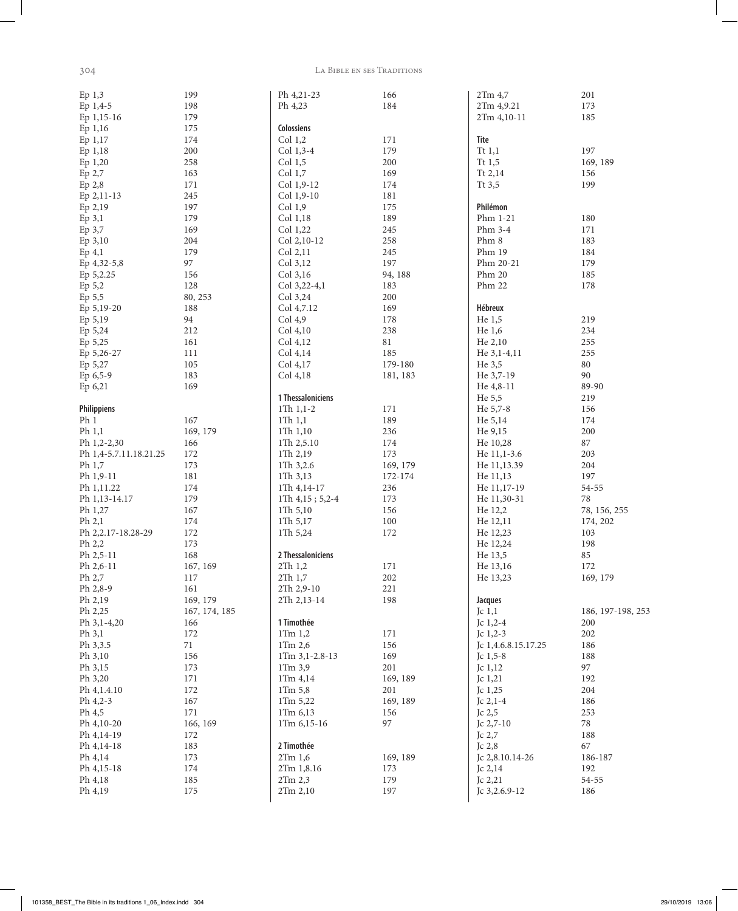$\overline{\phantom{a}}$ 

## 304 La Bible en ses Traditions

| Ep <sub>1,3</sub>      | 199           | Ph 4, 21 - 23       | 166      | 2Tm 4,7             | 201               |
|------------------------|---------------|---------------------|----------|---------------------|-------------------|
| Ep 1,4-5               | 198           | Ph 4,23             | 184      | 2Tm 4,9.21          | 173               |
| Ep 1,15-16             | 179           |                     |          | 2Tm 4,10-11         | 185               |
| Ep 1,16                | 175           | Colossiens          |          |                     |                   |
| Ep 1,17                | 174           | Col 1,2             | 171      | <b>Tite</b>         |                   |
|                        |               |                     |          |                     |                   |
| Ep 1,18                | 200           | Col 1,3-4           | 179      | Tt $1,1$            | 197               |
| Ep 1,20                | 258           | Col 1,5             | 200      | Tt $1,5$            | 169, 189          |
| Ep 2,7                 | 163           | Col 1,7             | 169      | Tt $2,14$           | 156               |
| Ep 2,8                 | 171           | Col 1,9-12          | 174      | Tt $3,5$            | 199               |
| Ep 2,11-13             | 245           | Col 1,9-10          | 181      |                     |                   |
| Ep 2,19                | 197           | Col 1,9             | 175      | Philémon            |                   |
| Ep 3,1                 | 179           | Col 1,18            | 189      | Phm 1-21            | 180               |
| Ep 3,7                 | 169           | Col 1,22            | 245      | Phm $3-4$           | 171               |
| Ep 3,10                | 204           | Col 2,10-12         | 258      | Phm 8               | 183               |
| $Ep$ 4,1               | 179           | Col 2,11            | 245      | Phm 19              | 184               |
|                        | 97            | Col 3,12            | 197      | Phm 20-21           | 179               |
| Ep 4,32-5,8            |               |                     |          |                     |                   |
| Ep 5,2.25              | 156           | Col 3,16            | 94, 188  | Phm 20              | 185               |
| Ep 5,2                 | 128           | Col 3,22-4,1        | 183      | Phm 22              | 178               |
| Ep 5,5                 | 80, 253       | Col 3,24            | 200      |                     |                   |
| Ep 5,19-20             | 188           | Col 4,7.12          | 169      | Hébreux             |                   |
| Ep 5,19                | 94            | Col 4,9             | 178      | He $1,5$            | 219               |
| Ep 5,24                | 212           | Col 4,10            | 238      | He 1,6              | 234               |
| Ep 5,25                | 161           | Col 4,12            | 81       | He 2,10             | 255               |
| Ep 5,26-27             | 111           | Col 4,14            | 185      | He $3,1-4,11$       | 255               |
| Ep 5,27                | 105           | Col 4,17            | 179-180  | He $3,5$            | $80\,$            |
| Ep 6,5-9               | 183           | Col 4,18            | 181, 183 | He 3,7-19           | 90                |
|                        |               |                     |          |                     | 89-90             |
| Ep 6,21                | 169           |                     |          | He $4,8-11$         |                   |
|                        |               | 1 Thessaloniciens   |          | He 5,5              | 219               |
| Philippiens            |               | 1Th $1,1-2$         | 171      | He 5,7-8            | 156               |
| Ph <sub>1</sub>        | 167           | $1Th$ $1,1$         | 189      | He 5,14             | 174               |
| Ph $1,1$               | 169, 179      | $1Th$ $1,10$        | 236      | He 9,15             | 200               |
| Ph 1,2-2,30            | 166           | 1 $Th$ 2,5.10       | 174      | He 10,28            | 87                |
| Ph 1,4-5.7.11.18.21.25 | 172           | 1Th 2,19            | 173      | He 11,1-3.6         | 203               |
| Ph 1,7                 | 173           | 1Th 3,2.6           | 169, 179 | He 11,13.39         | 204               |
| Ph 1,9-11              | 181           | 1Th3,13             | 172-174  | He 11,13            | 197               |
| Ph 1,11.22             | 174           | $1Th$ 4,14-17       | 236      | He 11,17-19         | 54-55             |
| Ph 1,13-14.17          | 179           | $1Th$ 4,15; 5,2-4   | 173      | He 11,30-31         | $78\,$            |
| Ph 1,27                | 167           | 1 $Th 5,10$         | 156      | He 12,2             | 78, 156, 255      |
| Ph 2,1                 | 174           | 1 $Th\ 5,17$        | 100      | He 12,11            | 174, 202          |
|                        |               |                     |          |                     |                   |
| Ph 2,2.17-18.28-29     | 172           | 1Th 5,24            | 172      | He 12,23            | 103               |
| Ph $2,2$               | 173           |                     |          | He 12,24            | 198               |
| Ph 2,5-11              | 168           | 2 Thessaloniciens   |          | He 13,5             | 85                |
| Ph 2,6-11              | 167, 169      | 2Th1,2              | 171      | He 13,16            | 172               |
| Ph 2,7                 | 117           | $2Th$ 1,7           | $202\,$  | He 13,23            | 169, 179          |
| Ph 2,8-9               | 161           | 2Th 2,9-10          | 221      |                     |                   |
| Ph 2,19                | 169, 179      | 2Th 2,13-14         | 198      | Jacques             |                   |
| Ph 2,25                | 167, 174, 185 |                     |          | Jc $1,1$            | 186, 197-198, 253 |
| Ph 3,1-4,20            | 166           | 1 Timothée          |          | Jc $1,2-4$          | 200               |
| Ph 3,1                 | 172           | $1$ Tm $1,2$        | 171      | Jc $1,2-3$          | 202               |
| Ph 3,3.5               | 71            | 1Tm 2,6             | 156      | Jc 1,4.6.8.15.17.25 | 186               |
| Ph 3,10                | 156           | $1$ Tm $3,1-2.8-13$ | 169      | Jc $1,5-8$          | 188               |
| Ph 3,15                |               |                     | 201      |                     | 97                |
|                        | 173           | 1Tm 3,9             |          | Jc 1,12             |                   |
| Ph 3,20                | 171           | 1Tm 4,14            | 169, 189 | Jc 1,21             | 192               |
| Ph 4, 1.4.10           | 172           | 1Tm 5,8             | 201      | Jc 1,25             | 204               |
| Ph 4,2-3               | 167           | 1Tm 5,22            | 169, 189 | Jc $2,1-4$          | 186               |
| Ph 4,5                 | 171           | 1Tm 6,13            | 156      | Jc 2,5              | 253               |
| Ph 4,10-20             | 166, 169      | $1$ Tm $6,15-16$    | 97       | Jc $2,7-10$         | 78                |
| Ph 4,14-19             | 172           |                     |          | Jc 2,7              | 188               |
| Ph 4, 14-18            | 183           | 2 Timothée          |          | Jc 2,8              | 67                |
| Ph 4,14                | 173           | 2Tm 1,6             | 169, 189 | Jc 2,8.10.14-26     | 186-187           |
| Ph 4,15-18             | 174           | 2Tm 1,8.16          | 173      | Jc 2,14             | 192               |
| Ph 4,18                | 185           | 2Tm 2,3             | 179      | Jc 2,21             | 54-55             |
| Ph 4,19                | 175           | 2Tm 2,10            | 197      | Jc 3,2.6.9-12       | 186               |
|                        |               |                     |          |                     |                   |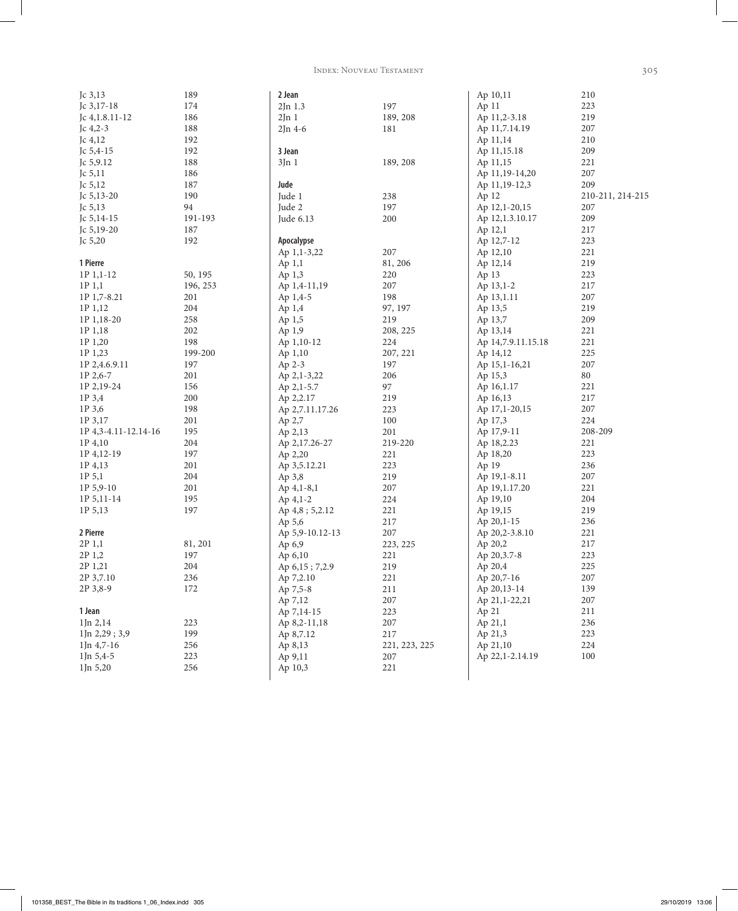INDEX: NOUVEAU TESTAMENT

| Jc $3,13$            | 189      | 2 Jean          |               | Ap 10,11           | 210              |
|----------------------|----------|-----------------|---------------|--------------------|------------------|
| Jc 3,17-18           | 174      | $2Jn$ 1.3       | 197           | Ap 11              | 223              |
| Jc $4,1.8.11-12$     | 186      | 2Jn1            | 189, 208      | Ap 11,2-3.18       | 219              |
| Jc $4,2-3$           | 188      | $2Jn$ 4-6       | 181           | Ap 11,7.14.19      | 207              |
| Jc 4,12              | 192      |                 |               | Ap 11,14           | 210              |
| Jc $5,4-15$          | 192      | 3 Jean          |               | Ap 11,15.18        | 209              |
| Jc $5,9.12$          | 188      | 3Jn1            | 189, 208      | Ap 11,15           | 221              |
| Jc $5,11$            | 186      |                 |               |                    | 207              |
|                      | 187      | Jude            |               | Ap 11,19-14,20     | 209              |
| Jc $5,12$            |          |                 |               | Ap 11,19-12,3      |                  |
| Jc $5,13-20$         | 190      | Jude 1          | 238           | Ap 12              | 210-211, 214-215 |
| Jc $5,13$            | 94       | Jude 2          | 197           | Ap 12,1-20,15      | 207              |
| Jc $5,14-15$         | 191-193  | Jude 6.13       | 200           | Ap 12,1.3.10.17    | 209              |
| Jc $5,19-20$         | 187      |                 |               | Ap 12,1            | 217              |
| Jc 5,20              | 192      | Apocalypse      |               | Ap 12,7-12         | 223              |
|                      |          | Ap 1,1-3,22     | 207           | Ap 12,10           | 221              |
| 1 Pierre             |          | Ap 1,1          | 81, 206       | Ap 12,14           | 219              |
| 1P 1,1-12            | 50, 195  | Ap 1,3          | 220           | Ap 13              | 223              |
| $1P_1,1$             | 196, 253 | Ap 1,4-11,19    | 207           | Ap 13,1-2          | 217              |
| 1P 1,7-8.21          | 201      | Ap 1,4-5        | 198           | Ap 13,1.11         | 207              |
| 1P 1,12              | 204      | Ap 1,4          | 97, 197       | Ap 13,5            | 219              |
| 1P 1,18-20           | 258      | Ap 1,5          | 219           | Ap 13,7            | 209              |
| 1P 1,18              | 202      | Ap 1,9          | 208, 225      | Ap 13,14           | 221              |
| 1P 1,20              | 198      | Ap 1,10-12      | 224           | Ap 14,7.9.11.15.18 | 221              |
| 1P 1,23              | 199-200  | Ap 1,10         | 207, 221      | Ap 14,12           | 225              |
| 1P 2,4.6.9.11        | 197      | Ap 2-3          | 197           | Ap 15,1-16,21      | 207              |
| 1P 2,6-7             | 201      | Ap 2,1-3,22     | 206           | Ap 15,3            | 80               |
| 1P 2,19-24           | 156      | Ap 2,1-5.7      | 97            | Ap 16,1.17         | 221              |
| 1P 3,4               | 200      | Ap 2,2.17       | 219           | Ap 16,13           | 217              |
| 1P 3,6               | 198      | Ap 2,7.11.17.26 | 223           | Ap 17,1-20,15      | 207              |
| 1P 3,17              | 201      | Ap 2,7          | 100           | Ap 17,3            | 224              |
| 1P 4,3-4.11-12.14-16 | 195      | Ap 2,13         | 201           | Ap 17,9-11         | 208-209          |
| 1P 4,10              | 204      |                 | 219-220       | Ap 18,2.23         | 221              |
|                      | 197      | Ap 2,17.26-27   |               |                    |                  |
| 1P 4, 12-19          |          | Ap 2,20         | 221           | Ap 18,20           | 223              |
| 1P 4,13              | 201      | Ap 3,5.12.21    | 223           | Ap 19              | 236              |
| 1P 5,1               | 204      | Ap 3,8          | 219           | Ap 19,1-8.11       | 207              |
| $1P_5, 9-10$         | 201      | $Ap\ 4,1-8,1$   | 207           | Ap 19,1.17.20      | 221              |
| 1P 5, 11-14          | 195      | $Ap \, 4,1-2$   | 224           | Ap 19,10           | 204              |
| 1P 5,13              | 197      | Ap 4,8; 5,2.12  | 221           | Ap 19,15           | 219              |
|                      |          | Ap 5,6          | 217           | Ap 20,1-15         | 236              |
| 2 Pierre             |          | Ap 5,9-10.12-13 | 207           | Ap 20,2-3.8.10     | 221              |
| 2P 1,1               | 81, 201  | Ap 6,9          | 223, 225      | Ap 20,2            | 217              |
| 2P 1,2               | 197      | Ap 6,10         | 221           | Ap 20,3.7-8        | 223              |
| 2P 1,21              | 204      | Ap 6,15; 7,2.9  | 219           | Ap 20,4            | 225              |
| 2P 3,7.10            | 236      | Ap 7,2.10       | 221           | Ap 20,7-16         | 207              |
| 2P 3,8-9             | 172      | Ap 7,5-8        | 211           | Ap 20,13-14        | 139              |
|                      |          | Ap 7,12         | 207           | Ap 21,1-22,21      | 207              |
| 1 Jean               |          | Ap 7,14-15      | 223           | Ap 21              | 211              |
| 1Jn 2,14             | 223      | Ap 8,2-11,18    | 207           | Ap 21,1            | 236              |
| 1Jn 2,29; 3,9        | 199      | Ap 8,7.12       | 217           | Ap 21,3            | 223              |
| $1$ Jn 4,7-16        | 256      | Ap 8,13         | 221, 223, 225 | Ap 21,10           | 224              |
| $1$ Jn 5,4-5         | 223      | Ap 9,11         | 207           | Ap 22,1-2.14.19    | 100              |
| $1$ Jn 5,20          | 256      | Ap 10,3         | 221           |                    |                  |
|                      |          |                 |               |                    |                  |

305

 $\overline{\phantom{a}}$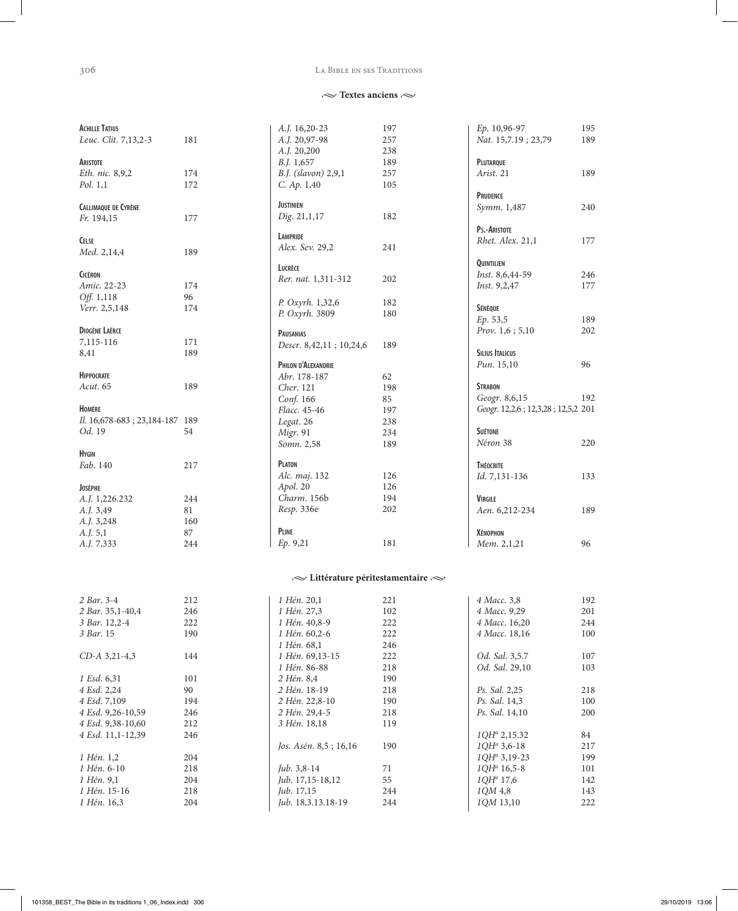#### LA BIBLE EN SES TRADITIONS

#### $\sim$  Textes anciens  $\sim$

| <b>ACHILLE TATIUS</b>                  |     | A.J. 16,20-23                               | 197 | Ep. 10,96-97                       | 195        |
|----------------------------------------|-----|---------------------------------------------|-----|------------------------------------|------------|
| Leuc. Clit. 7,13,2-3                   | 181 | A.J. 20,97-98                               | 257 | Nat. 15,7.19; 23,79                | 189        |
|                                        |     | A.J. 20,200                                 | 238 |                                    |            |
| ARISTOTE                               |     | <i>B.J.</i> 1,657                           | 189 | PLUTARQUE                          |            |
| Eth. nic. 8,9,2                        | 174 | B.J. (slavon) 2,9,1                         | 257 | Arist. 21                          | 189        |
| Pol. 1,1                               | 172 | C. Ap. 1,40                                 | 105 |                                    |            |
|                                        |     |                                             |     | <b>PRUDENCE</b>                    |            |
| <b>CALLIMAQUE DE CYRÈNE</b>            |     | <b>JUSTINIEN</b>                            |     | Symm. 1,487                        | 240        |
| Fr. 194,15                             | 177 | Dig. 21,1,17                                | 182 |                                    |            |
|                                        |     |                                             |     | PS.-ARISTOTE                       |            |
| <b>CELSE</b>                           |     | <b>LAMPRIDE</b>                             |     | Rhet. Alex. 21,1                   | 177        |
| Med. 2,14,4                            | 189 | Alex. Sev. 29,2                             | 241 |                                    |            |
|                                        |     | LUCRÈCE                                     |     | QUINTILIEN                         |            |
| <b>CICÉRON</b>                         |     | Rer. nat. 1,311-312                         | 202 | Inst. 8,6,44-59                    | 246        |
| Amic. 22-23                            | 174 |                                             |     | Inst. 9,2,47                       | 177        |
| Off. 1,118                             | 96  |                                             |     |                                    |            |
| Verr. 2,5,148                          | 174 | P. Oxyrh. 1,32,6                            | 182 | SÉNÈQUE                            |            |
|                                        |     | P. Oxyrh. 3809                              | 180 | Ep. 53,5                           | 189        |
| <b>DIOGÈNE LAËRCE</b>                  |     | <b>PAUSANIAS</b>                            |     | Prov. 1,6; 5,10                    | 202        |
| 7,115-116                              | 171 | Descr. 8,42,11; 10,24,6                     | 189 |                                    |            |
| 8,41                                   | 189 |                                             |     | <b>SILIUS ITALICUS</b>             |            |
|                                        |     | PHILON D'ALEXANDRIE                         |     | Pun. 15,10                         | 96         |
| <b>HIPPOCRATE</b>                      |     | Abr. 178-187                                | 62  |                                    |            |
| Acut. 65                               | 189 | Cher. 121                                   | 198 | <b>STRABON</b>                     |            |
|                                        |     | Conf. 166                                   | 85  | Geogr. 8,6,15                      | 192        |
| HOMÈRE                                 |     | Flacc. 45-46                                | 197 | Geogr. 12,2,6; 12,3,28; 12,5,2 201 |            |
| Il. 16,678-683; 23,184-187 189         |     | Legat. 26                                   | 238 |                                    |            |
| Od. 19                                 | 54  | Migr. 91                                    | 234 | <b>SUÉTONE</b>                     |            |
|                                        |     | Somn. 2,58                                  | 189 | Néron 38                           | 220        |
| <b>H</b> YGIN                          |     |                                             |     |                                    |            |
| Fab. 140                               | 217 | <b>PLATON</b>                               |     | <b>THÉOCRITE</b>                   |            |
|                                        |     | Alc. maj. 132                               | 126 | Id. 7,131-136                      | 133        |
| <b>JOSÈPHE</b>                         |     | Apol. 20                                    | 126 |                                    |            |
| A.J. 1,226.232                         | 244 | Charm. 156b                                 | 194 | <b>VIRGILE</b>                     |            |
| A.J. 3,49                              | 81  | Resp. 336e                                  | 202 | Aen. 6,212-234                     | 189        |
| A.J. 3,248                             | 160 |                                             |     |                                    |            |
| A.J. 5,1                               | 87  | <b>PLINE</b>                                |     | <b>XÉNOPHON</b>                    |            |
| A.J. 7,333                             | 244 | Ep. 9,21                                    | 181 | Мет. 2,1,21                        | 96         |
|                                        |     |                                             |     |                                    |            |
|                                        |     | $\sim$ Littérature péritestamentaire $\sim$ |     |                                    |            |
|                                        |     |                                             |     |                                    |            |
| 2 Bar. 3-4                             | 212 | 1 Hén. 20,1                                 | 221 | 4 Macc. 3,8                        | 192        |
| 2 Bar. 35,1-40,4                       | 246 | 1 Hén. 27,3                                 | 102 | 4 Macc. 9,29                       | 201        |
| 3 Bar. 12,2-4                          | 222 | 1 Hén. 40,8-9                               | 222 | 4 Macc. 16,20                      | 244        |
| 3 Bar. 15                              | 190 | 1 Hén. 60,2-6                               | 222 | 4 Macc. 18,16                      | 100        |
|                                        |     | 1 Hén. 68,1                                 | 246 |                                    |            |
| CD-A 3,21-4,3                          | 144 | 1 Hén. 69,13-15                             | 222 | Od. Sal. 3,5.7                     | 107        |
|                                        |     | 1 Hén. 86-88                                | 218 | Od. Sal. 29,10                     |            |
| 1 Esd. 6,31                            | 101 | 2 Hén. 8,4                                  | 190 |                                    | 103        |
| 4 Esd. 2,24                            | 90  | 2 Hén. 18-19                                | 218 | Ps. Sal. 2,25                      | 218        |
|                                        |     | 2 Hén. 22,8-10                              |     |                                    |            |
| 4 Esd. 7,109                           | 194 |                                             | 190 | Ps. Sal. 14,3                      | 100        |
| 4 Esd. 9,26-10,59<br>4 Esd. 9,38-10,60 | 246 | 2 Hén. 29,4-5                               | 218 | Ps. Sal. 14,10                     | 200        |
|                                        | 212 | 3 Hén. 18,18                                | 119 |                                    |            |
| 4 Esd. 11,1-12,39                      | 246 |                                             |     | $1QH^a 2,15.32$                    | 84         |
|                                        |     | Jos. Asén. 8,5; 16,16                       | 190 | $1QH^a 3, 6-18$                    | 217        |
| 1 Hén. 1,2                             | 204 |                                             |     | $1QH^a 3, 19-23$                   | 199        |
| 1 Hén. 6-10                            | 218 | Jub. 3,8-14                                 | 71  | $1QH^a$ 16,5-8                     | 101<br>142 |
| 1 Hén. 9,1                             | 204 | Jub. 17,15-18,12                            | 55  | $1QH^a$ 17,6                       |            |
| 1 Hén. 15-16                           | 218 | Jub. 17,15                                  | 244 | 1QM 4,8                            | 143        |
| 1 Hén. 16,3                            | 204 | Jub. 18,3.13.18-19                          | 244 | 1QM 13,10                          | 222        |

 $\overline{\phantom{a}}$ 

 $\overline{\phantom{a}}$ 

 $246\,$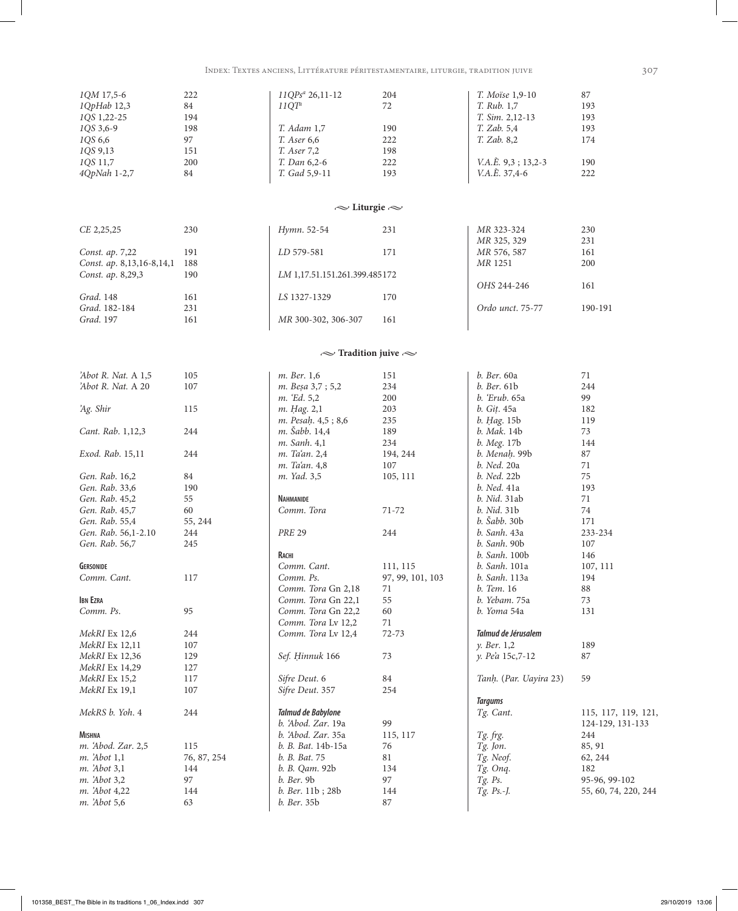INDEX: TEXTES ANCIENS, LITTÉRATURE PÉRITESTAMENTAIRE, LITURGIE, TRADITION JUIVE

| 1QM 17,5-6                | 222         | 11QPs <sup>a</sup> 26,11-12   | 204              | T. Moïse 1,9-10             | 87                   |
|---------------------------|-------------|-------------------------------|------------------|-----------------------------|----------------------|
|                           |             |                               |                  |                             |                      |
| 1QpHab 12,3               | 84          | 11QT <sup>a</sup>             | $72\,$           | T. Rub. 1,7                 | 193                  |
| 1QS 1,22-25               | 194         |                               |                  | T. Sim. 2,12-13             | 193                  |
| 1QS 3,6-9                 | 198         | T. Adam 1,7                   | 190              | T. Zab. 5,4                 | 193                  |
| 1QS 6,6                   | 97          | T. Aser 6,6                   | 222              | T. Zab. 8,2                 | 174                  |
|                           |             |                               |                  |                             |                      |
| 1QS 9,13                  | 151         | T. Aser 7,2                   | 198              |                             |                      |
| 1QS 11,7                  | 200         | T. Dan 6,2-6                  | 222              | $V.A.\hat{E}$ . 9,3; 13,2-3 | 190                  |
| 4QpNah 1-2,7              | 84          | T. Gad 5,9-11                 | 193              | $V.A.\hat{E}$ . 37,4-6      | 222                  |
|                           |             |                               |                  |                             |                      |
|                           |             |                               |                  |                             |                      |
|                           |             |                               |                  |                             |                      |
|                           |             | $\sim$ Liturgie $\sim$        |                  |                             |                      |
|                           |             |                               |                  |                             |                      |
|                           |             |                               |                  |                             |                      |
| CE 2,25,25                | 230         | Hymn. 52-54                   | 231              | MR 323-324                  | 230                  |
|                           |             |                               |                  | MR 325, 329                 | 231                  |
| Const. ap. 7,22           | 191         | LD 579-581                    | 171              | MR 576, 587                 | 161                  |
|                           |             |                               |                  |                             |                      |
| Const. ap. 8,13,16-8,14,1 | 188         |                               |                  | MR 1251                     | 200                  |
| Const. ap. 8,29,3         | 190         | LM 1,17.51.151.261.399.485172 |                  |                             |                      |
|                           |             |                               |                  | OHS 244-246                 | 161                  |
| Grad. 148                 | 161         | LS 1327-1329                  | 170              |                             |                      |
|                           |             |                               |                  |                             |                      |
| Grad. 182-184             | 231         |                               |                  | Ordo unct. 75-77            | 190-191              |
| Grad. 197                 | 161         | MR 300-302, 306-307           | 161              |                             |                      |
|                           |             |                               |                  |                             |                      |
|                           |             |                               |                  |                             |                      |
|                           |             |                               |                  |                             |                      |
|                           |             | $\sim$ Tradition juive $\sim$ |                  |                             |                      |
|                           |             |                               |                  |                             |                      |
| 'Abot R. Nat. A 1,5       | 105         | m. Ber. 1,6                   | 151              | b. Ber. 60a                 | 71                   |
|                           |             |                               |                  |                             |                      |
| 'Abot R. Nat. A 20        | 107         | m. Beşa 3,7 ; 5,2             | 234              | b. Ber. 61b                 | 244                  |
|                           |             | m. 'Ed. 5,2                   | 200              | <i>b. Erub.</i> 65a         | 99                   |
| 'Ag. Shir                 | 115         | m. Hag. 2,1                   | 203              | b. Git. 45a                 | 182                  |
|                           |             | m. Pesah. 4,5; 8,6            | 235              | b. Hag. 15b                 | 119                  |
|                           |             |                               |                  |                             |                      |
| Cant. Rab. 1,12,3         | 244         | m. Šabb. 14,4                 | 189              | b. Mak. 14b                 | 73                   |
|                           |             | m. Sanh. 4,1                  | 234              | b. Meg. 17b                 | 144                  |
| Exod. Rab. 15,11          | 244         | m. Ta'an. 2,4                 | 194, 244         | b. Menah. 99b               | 87                   |
|                           |             | m. Ta'an. 4,8                 | 107              | b. Ned. 20a                 | 71                   |
|                           |             |                               |                  |                             |                      |
| Gen. Rab. 16,2            | 84          | m. Yad. 3,5                   | 105, 111         | b. Ned. 22b                 | 75                   |
| Gen. Rab. 33,6            | 190         |                               |                  | b. Ned. 41a                 | 193                  |
| Gen. Rab. 45,2            | 55          | <b>NAHMANIDE</b>              |                  | b. Nid. 31ab                | 71                   |
|                           |             | Comm. Tora                    |                  |                             |                      |
| Gen. Rab. 45,7            | 60          |                               | 71-72            | b. Nid. 31b                 | 74                   |
| Gen. Rab. 55,4            | 55, 244     |                               |                  | <i>b. Šabb.</i> 30b         | 171                  |
| Gen. Rab. 56,1-2.10       | 244         | <b>PRE 29</b>                 | 244              | b. Sanh. 43a                | 233-234              |
| Gen. Rab. 56,7            | 245         |                               |                  | b. Sanh. 90b                | 107                  |
|                           |             |                               |                  |                             |                      |
|                           |             | RACHI                         |                  | b. Sanh. 100b               | 146                  |
| <b>GERSONIDE</b>          |             | Comm. Cant.                   | 111, 115         | b. Sanh. 101a               | 107, 111             |
| Comm. Cant.               | 117         | Comm. Ps.                     | 97, 99, 101, 103 | <i>b.</i> Sanh. 113a        | 194                  |
|                           |             | Comm. Tora Gn 2,18            | 71               | b. Tem. 16                  | $88\,$               |
|                           |             |                               |                  |                             |                      |
| <b>IBN EZRA</b>           |             | Comm. Tora Gn 22,1            | 55               | b. Yebam. 75a               | 73                   |
| Comm. Ps.                 | 95          | Comm. Tora Gn 22,2            | 60               | b. Yoma 54a                 | 131                  |
|                           |             | Comm. Tora Lv 12,2            | $71\,$           |                             |                      |
|                           |             | Comm. Tora Lv 12,4            | $72 - 73$        | Talmud de Jérusalem         |                      |
| MekRI Ex 12,6             | 244         |                               |                  |                             |                      |
| MekRI Ex 12,11            | 107         |                               |                  | y. Ber. 1,2                 | 189                  |
| MekRI Ex 12,36            | 129         | Sef. Hinnuk 166               | 73               | y. Pea 15c,7-12             | 87                   |
| MekRI Ex 14,29            | 127         |                               |                  |                             |                      |
|                           |             |                               |                  |                             |                      |
| MekRI Ex 15,2             | 117         | Sifre Deut. 6                 | $\rm 84$         | Tanh. (Par. Uayira 23)      | 59                   |
| MekRI Ex 19,1             | 107         | Sifre Deut. 357               | 254              |                             |                      |
|                           |             |                               |                  | <b>Targums</b>              |                      |
| MekRS b. Yoh. 4           | 244         | Talmud de Babylone            |                  | Tg. Cant.                   | 115, 117, 119, 121,  |
|                           |             |                               |                  |                             |                      |
|                           |             | b. 'Abod. Zar. 19a            | 99               |                             | 124-129, 131-133     |
| <b>MISHNA</b>             |             | b. 'Abod. Zar. 35a            | 115, 117         | Tg. frg.                    | 244                  |
| m. 'Abod. Zar. 2,5        | 115         | b. B. Bat. 14b-15a            | 76               | Tg. Jon.                    | 85, 91               |
| <i>m.</i> Abot 1,1        | 76, 87, 254 | b. B. Bat. 75                 | 81               | Tg. Neof.                   |                      |
|                           |             |                               |                  |                             | 62, 244              |
| m. 'Abot 3,1              | 144         | b. B. Qam. 92b                | 134              | Tg. Onq.                    | 182                  |
| <i>m.</i> Abot 3,2        | 97          | <i>b.</i> Ber. 9b             | 97               | $Tg.$ Ps.                   | 95-96, 99-102        |
| m. 'Abot 4,22             | 144         | b. Ber. 11b; 28b              | 144              | Tg. Ps.-J.                  | 55, 60, 74, 220, 244 |
|                           |             |                               |                  |                             |                      |
| m. 'Abot 5,6              | 63          | b. Ber. 35b                   | 87               |                             |                      |

307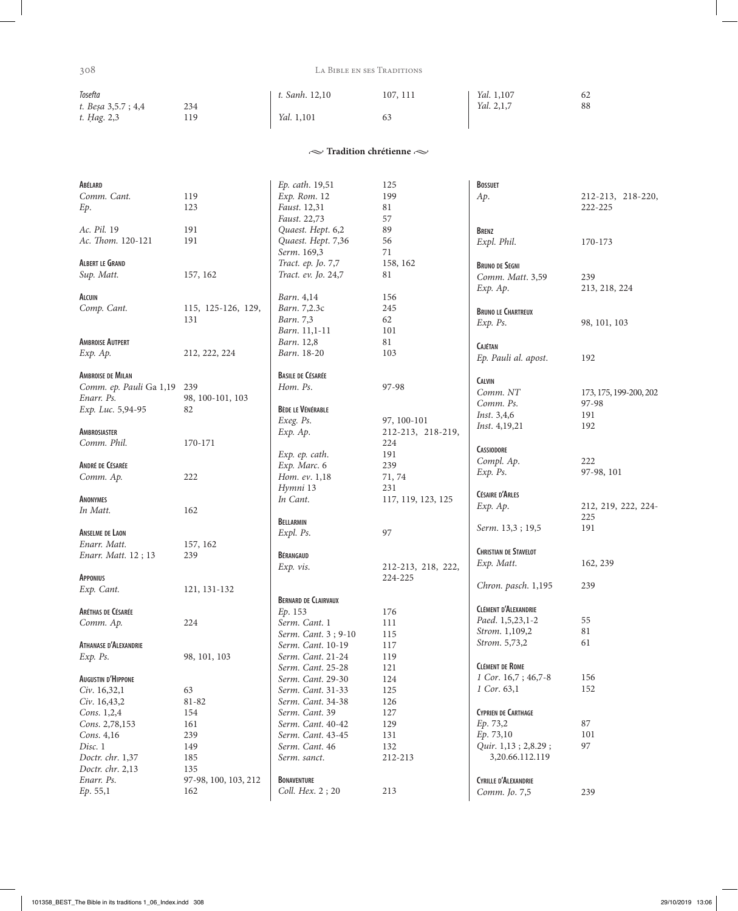$\overline{\phantom{a}}$ 

## 308 La Bible en ses Traditions

| Tosefta            |     | t. Sanh. 12,10    | 107, 111 | Yal. 1,107 | 62 |
|--------------------|-----|-------------------|----------|------------|----|
| t. Besa 3,5.7; 4,4 | 234 |                   |          | Yal. 2,1,7 | 88 |
| t. Hag. 2,3        | 119 | <i>Yal.</i> 1,101 | 63       |            |    |
|                    |     |                   |          |            |    |

 $\sim$  Tradition chrétienne  $\sim$ 

| ABÉLARD                   |                             | Ep. cath. 19,51                        | 125                | <b>BOSSUET</b>                               |                        |
|---------------------------|-----------------------------|----------------------------------------|--------------------|----------------------------------------------|------------------------|
| Comm. Cant.               | 119                         | Exp. Rom. 12                           | 199                | Ap.                                          | 212-213, 218-220,      |
| Ep.                       | 123                         | Faust. 12,31                           | 81                 |                                              | 222-225                |
|                           |                             | Faust. 22,73                           | 57                 |                                              |                        |
| Ac. Pil. 19               | 191                         | Quaest. Hept. 6,2                      | 89                 | <b>BRENZ</b>                                 |                        |
| Ac. Thom. 120-121         | 191                         | Quaest. Hept. 7,36                     | 56                 | Expl. Phil.                                  | 170-173                |
|                           |                             | Serm. 169,3                            | 71                 |                                              |                        |
| <b>ALBERT LE GRAND</b>    |                             | Tract. ep. Jo. 7,7                     | 158, 162           | <b>BRUNO DE SEGNI</b>                        |                        |
| Sup. Matt.                | 157, 162                    | Tract. ev. Jo. 24,7                    | 81                 | Comm. Matt. 3,59                             | 239                    |
|                           |                             |                                        |                    | Exp. Ap.                                     | 213, 218, 224          |
| ALCUIN                    |                             | Barn. 4,14                             | 156                |                                              |                        |
| Comp. Cant.               | 115, 125-126, 129,          | Barn. 7,2.3c                           | 245                | <b>BRUNO LE CHARTREUX</b>                    |                        |
|                           | 131                         | Barn. 7,3                              | 62                 | Exp. Ps.                                     | 98, 101, 103           |
|                           |                             | Barn. 11,1-11                          | 101                |                                              |                        |
| <b>AMBROISE AUTPERT</b>   |                             | Barn. 12,8                             | 81                 | <b>CAJÉTAN</b>                               |                        |
| Exp. Ap.                  | 212, 222, 224               | Barn. 18-20                            | 103                |                                              |                        |
|                           |                             |                                        |                    | Ep. Pauli al. apost.                         | 192                    |
| <b>AMBROISE DE MILAN</b>  |                             | <b>BASILE DE CÉSARÉE</b>               |                    |                                              |                        |
| Comm. ep. Pauli Ga 1,19   | 239                         | Hom. Ps.                               | 97-98              | <b>CALVIN</b>                                |                        |
| Enarr. Ps.                | 98, 100-101, 103            |                                        |                    | Comm. NT                                     | 173, 175, 199-200, 202 |
| Exp. Luc. 5,94-95         | 82                          | <b>BÈDE LE VÉNÉRABLE</b>               |                    | Comm. Ps.                                    | 97-98                  |
|                           |                             | Exeg. Ps.                              | 97, 100-101        | Inst. 3,4,6                                  | 191                    |
| <b>AMBROSIASTER</b>       |                             | Exp. Ap.                               | 212-213, 218-219,  | <i>Inst.</i> 4,19,21                         | 192                    |
| Comm. Phil.               | 170-171                     |                                        | 224                |                                              |                        |
|                           |                             | Exp. ep. cath.                         | 191                | <b>CASSIODORE</b>                            |                        |
| ANDRÉ DE CÉSARÉE          |                             | Exp. Marc. 6                           | 239                | Compl. Ap.                                   | 222                    |
| Comm. Ap.                 | 222                         | Hom. ev. 1,18                          | 71, 74             | Exp. Ps.                                     | 97-98, 101             |
|                           |                             | Hymni 13                               | 231                |                                              |                        |
| ANONYMES                  |                             | In Cant.                               | 117, 119, 123, 125 | <b>CÉSAIRE D'ARLES</b>                       |                        |
| In Matt.                  | 162                         |                                        |                    | Exp. Ap.                                     | 212, 219, 222, 224-    |
|                           |                             | BELLARMIN                              |                    |                                              | 225                    |
| <b>ANSELME DE LAON</b>    |                             | Expl. Ps.                              | 97                 | Serm. 13,3; 19,5                             | 191                    |
| Enarr. Matt.              | 157, 162                    |                                        |                    |                                              |                        |
| Enarr. Matt. 12; 13       | 239                         | BÉRANGAUD                              |                    | <b>CHRISTIAN DE STAVELOT</b>                 |                        |
|                           |                             | Exp. vis.                              | 212-213, 218, 222, | Exp. Matt.                                   | 162, 239               |
| <b>APPONIUS</b>           |                             |                                        | 224-225            |                                              |                        |
| Exp. Cant.                | 121, 131-132                |                                        |                    | Chron. pasch. 1,195                          | 239                    |
|                           |                             | <b>BERNARD DE CLAIRVAUX</b>            |                    |                                              |                        |
| ARÉTHAS DE CÉSARÉE        |                             | Ep. 153                                | 176                | <b>CLÉMENT D'ALEXANDRIE</b>                  |                        |
| Comm. Ap.                 | 224                         | Serm. Cant. 1                          | 111                | Paed. 1,5,23,1-2                             | 55                     |
|                           |                             | Serm. Cant. 3; 9-10                    | 115                | Strom. 1,109,2                               | 81                     |
| ATHANASE D'ALEXANDRIE     |                             | Serm. Cant. 10-19                      | 117                | Strom. 5,73,2                                | 61                     |
| $Exp.$ $Ps.$              | 98, 101, 103                | Serm. Cant. 21-24                      | 119                |                                              |                        |
|                           |                             | Serm. Cant. 25-28                      | 121                | <b>CLÉMENT DE ROME</b>                       |                        |
| <b>AUGUSTIN D'HIPPONE</b> |                             | Serm. Cant. 29-30                      | 124                | 1 Cor. 16,7; 46,7-8                          | 156                    |
| Civ. 16,32,1              | 63                          | Serm. Cant. 31-33                      | 125                | 1 Cor. 63,1                                  | 152                    |
| Civ. 16,43,2              | 81-82                       | Serm. Cant. 34-38                      | 126                |                                              |                        |
| Cons. 1,2,4               | 154                         | Serm. Cant. 39                         | 127                | <b>CYPRIEN DE CARTHAGE</b>                   |                        |
| Cons. 2,78,153            | 161                         | Serm. Cant. 40-42                      | 129                | Ep. 73,2                                     | 87                     |
| Cons. 4,16                |                             |                                        |                    |                                              |                        |
|                           |                             |                                        |                    |                                              |                        |
|                           | 239                         | Serm. Cant. 43-45                      | 131                | Ep. 73,10                                    | 101                    |
| Disc. 1                   | 149                         | Serm. Cant. 46                         | 132                | Quir. 1,13; 2,8.29;                          | 97                     |
| Doctr. chr. 1,37          | 185                         | Serm. sanct.                           | 212-213            | 3,20.66.112.119                              |                        |
| Doctr. chr. 2,13          | 135                         |                                        |                    |                                              |                        |
| Enarr. Ps.<br>Ep. 55,1    | 97-98, 100, 103, 212<br>162 | <b>BONAVENTURE</b><br>Coll. Hex. 2; 20 | 213                | <b>CYRILLE D'ALEXANDRIE</b><br>Comm. Jo. 7,5 | 239                    |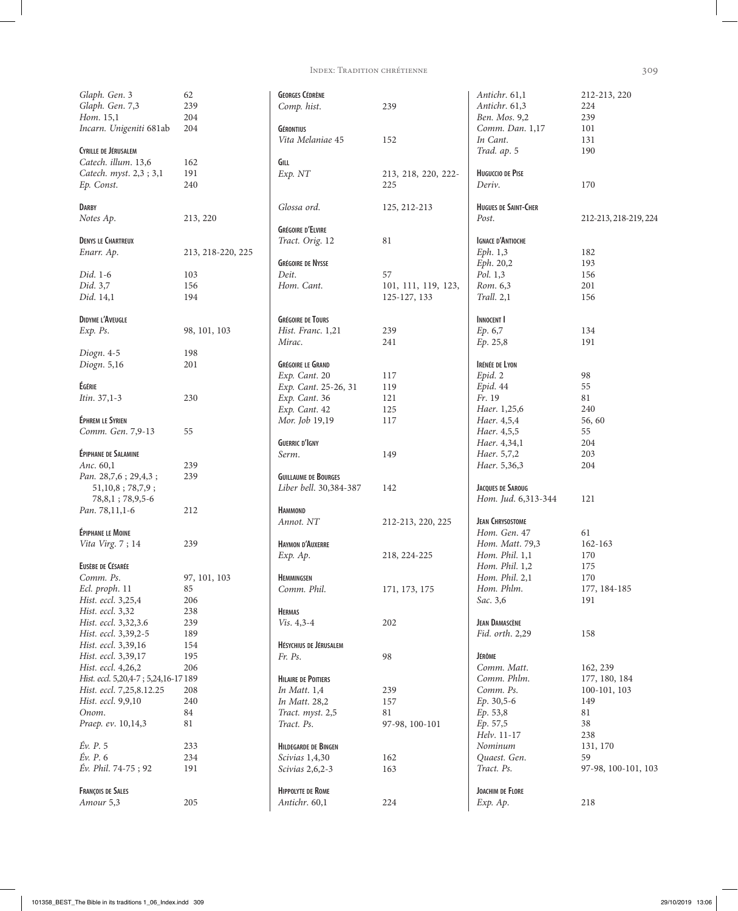Index: Tradition chrétienne 309

| Glaph. Gen. 3                       | 62                |
|-------------------------------------|-------------------|
| Glaph. Gen. 7,3                     | 239               |
| Hom. 15,1                           | 204               |
| Incarn. Unigeniti 681ab             | 204               |
|                                     |                   |
| <b>CYRILLE DE JÉRUSALEM</b>         |                   |
|                                     |                   |
| Catech. illum. 13,6                 | 162               |
| Catech. myst. 2,3 ; 3,1             | 191               |
| Ep. Const.                          | 240               |
|                                     |                   |
| <b>DARBY</b>                        |                   |
| Notes Ap.                           | 213, 220          |
|                                     |                   |
| <b>DENYS LE CHARTREUX</b>           |                   |
|                                     |                   |
| Enarr. Ap.                          | 213, 218-220, 225 |
|                                     |                   |
| Did. 1-6                            | 103               |
| Did. 3,7                            | 156               |
| Did. 14,1                           | 194               |
|                                     |                   |
| <b>DIDYME L'AVEUGLE</b>             |                   |
| $Exp.$ $Ps.$                        | 98, 101, 103      |
|                                     |                   |
|                                     |                   |
| Diogn. 4-5                          | 198               |
| Diogn. 5,16                         | 201               |
|                                     |                   |
| ÉGÉRIE                              |                   |
| Itin. 37,1-3                        | 230               |
|                                     |                   |
| ÉPHREM LE SYRIEN                    |                   |
|                                     |                   |
| Comm. Gen. 7,9-13                   | 55                |
|                                     |                   |
| <b>ÉPIPHANE DE SALAMINE</b>         |                   |
| Anc. 60,1                           | 239               |
| Pan. 28,7,6; 29,4,3;                | 239               |
| 51,10,8;78,7,9;                     |                   |
| 78, 8, 1; 78, 9, 5-6                |                   |
|                                     |                   |
| Pan. 78,11,1-6                      | 212               |
|                                     |                   |
| ÉPIPHANE LE MOINE                   |                   |
| Vita Virg. 7; 14                    | 239               |
|                                     |                   |
| EUSÈBE DE CÉSARÉE                   |                   |
| Comm. Ps.                           | 97, 101, 103      |
| Ecl. proph. 11                      | 85                |
| Hist. eccl. 3,25,4                  | 206               |
|                                     |                   |
| Hist. eccl. 3,32                    | 238               |
| Hist. eccl. 3,32,3.6                | 239               |
| Hist. eccl. 3,39,2-5                | 189               |
| Hist. eccl. 3,39,16                 | 154               |
| Hist. eccl. 3,39,17                 | 195               |
| Hist. eccl. 4,26,2                  | 206               |
|                                     |                   |
| Hist. eccl. 5,20,4-7; 5,24,16-17189 |                   |
| Hist. eccl. 7,25,8.12.25            | 208               |
| Hist. eccl. 9,9,10                  | 240               |
| Onom.                               | 84                |
| Praep. ev. 10,14,3                  | 81                |
|                                     |                   |
| Év. P. 5                            | 233               |
| Éν. <i>P</i> . 6                    | 234               |
| Év. Phil. 74-75; 92                 |                   |
|                                     | 191               |
|                                     |                   |
| <b>FRANÇOIS DE SALES</b>            |                   |
| Amour 5,3                           | 205               |

| <b>GEORGES CÉDRÈNE</b><br>Comp. hist. | 239                        | Antichr. 61,1<br>Antichr. 61,3               | 212-213, 220<br>224 |
|---------------------------------------|----------------------------|----------------------------------------------|---------------------|
| <b>GÉRONTIUS</b><br>Vita Melaniae 45  | 152                        | Ben. Mos. 9,2<br>Comm. Dan. 1,17<br>In Cant. | 239<br>101<br>131   |
|                                       |                            | Trad. ap. 5                                  | 190                 |
| GILL                                  |                            |                                              |                     |
| Exp. NT                               | 213, 218, 220, 222-<br>225 | <b>HUGUCCIO DE PISE</b><br>Deriv.            | 170                 |
| Glossa ord.                           | 125, 212-213               | <b>HUGUES DE SAINT-CHER</b><br>Post.         | 212-213, 218-21     |
| <b>GRÉGOIRE D'ELVIRE</b>              |                            |                                              |                     |
| Tract. Orig. 12                       | 81                         | <b>IGNACE D'ANTIOCHE</b>                     |                     |
|                                       |                            | Eph. 1,3                                     | 182                 |
| <b>GRÉGOIRE DE NYSSE</b>              |                            | Eph. 20,2                                    | 193                 |
| Deit.                                 | 57                         | Pol. 1,3                                     | 156                 |
| Hom. Cant.                            | 101, 111, 119, 123,        | Rom. 6,3                                     | 201                 |
|                                       | 125-127, 133               | Trall. 2,1                                   | 156                 |
| <b>GRÉGOIRE DE TOURS</b>              |                            | <b>INNOCENT I</b>                            |                     |
| Hist. Franc. 1,21                     | 239                        | Ep. 6,7                                      | 134                 |
| Mirac.                                | 241                        | Ep. 25,8                                     | 191                 |
| <b>GRÉGOIRE LE GRAND</b>              |                            | <b>IRÉNÉE DE LYON</b>                        |                     |
| Exp. Cant. 20                         | 117                        | Epid. 2                                      | 98                  |
| Exp. Cant. 25-26, 31                  | 119                        | Epid. 44                                     | 55                  |
| Exp. Cant. 36                         | 121                        | Fr. 19                                       | 81                  |
| Exp. Cant. 42                         | 125                        | Haer. 1,25,6                                 | 240                 |
| Mor. Job 19,19                        | 117                        | Haer. 4,5,4                                  | 56, 60              |
|                                       |                            | Haer. 4,5,5                                  | 55                  |
| <b>GUERRIC D'IGNY</b>                 |                            | Haer. 4,34,1                                 | 204                 |
| Serm.                                 | 149                        | Haer. 5,7,2                                  | 203                 |
|                                       |                            | Haer. 5,36,3                                 | 204                 |
| <b>GUILLAUME DE BOURGES</b>           |                            |                                              |                     |
| Liber bell. 30,384-387                | 142                        | <b>JACQUES DE SAROUG</b>                     |                     |
| <b>HAMMOND</b>                        |                            | Hom. Jud. 6,313-344                          | 121                 |
| Annot. NT                             | 212-213, 220, 225          | <b>JEAN CHRYSOSTOME</b>                      |                     |
|                                       |                            | Hom. Gen. 47                                 | 61                  |
| HAYMON D'AUXERRE                      |                            | Hom. Matt. 79,3                              | 162-163             |
| $Exp.$ Ap.                            | 218, 224-225               | Hom. Phil. 1,1                               | 170                 |
|                                       |                            | Hom. Phil. 1,2                               | 175                 |
| <b>HEMMINGSEN</b>                     |                            | Hom. Phil. 2,1                               | 170                 |
| Comm. Phil.                           | 171, 173, 175              | Hom. Phlm.                                   | 177, 184-185        |
|                                       |                            | Sac. 3,6                                     | 191                 |
| <b>HERMAS</b>                         |                            |                                              |                     |
| $Vis. 4, 3-4$                         | 202                        | <b>JEAN DAMASCÈNE</b><br>Fid. orth. 2,29     | 158                 |
| HÉSYCHIUS DE JÉRUSALEM                |                            |                                              |                     |
| Fr. Ps.                               | 98                         | JÉRÔME                                       |                     |
|                                       |                            | Comm. Matt.                                  | 162, 239            |
| <b>HILAIRE DE POITIERS</b>            |                            | Comm. Phlm.                                  | 177, 180, 184       |
| In Matt. $1,4$                        | 239                        | Comm. Ps.                                    | 100-101, 103        |
| In Matt. 28,2                         | 157                        | Ep. 30,5-6                                   | 149                 |
| Tract. myst. 2,5                      | 81                         | Ep. 53,8                                     | 81                  |
| Tract. Ps.                            | 97-98, 100-101             | Ep. 57,5                                     | 38                  |
|                                       |                            | Helv. 11-17                                  | 238                 |
| <b>HILDEGARDE DE BINGEN</b>           |                            | Nominum                                      | 131, 170            |
| Scivias 1,4,30                        | 162                        | Quaest. Gen.                                 | 59                  |
| Scivias 2,6,2-3                       | 163                        | Tract. Ps.                                   | 97-98, 100-10       |
| <b>HIPPOLYTE DE ROME</b>              |                            | <b>JOACHIM DE FLORE</b>                      |                     |
| Antichr. 60,1                         | 224                        | Exp. Ap.                                     | 218                 |
|                                       |                            |                                              |                     |

224<br>239 *B*<sub>n</sub>, 2<sub>39</sub> 239 <br>*a*<sub>1</sub>, 1, 17 101 *In Cant*. 131 *Trad. ap*. 5 190 *Deriv*. 170 *Post*. 212-213, 218-219, 224 *Eph*. 1,3 182 *Eph*. 20,2 193 *Pol*. 1,3 156 201 *Trall*. 2,1 156 *Ep*. 6,7 134 *Ep*. 25,8 191

*Tract. Ps*. 97-98, 100-101, 103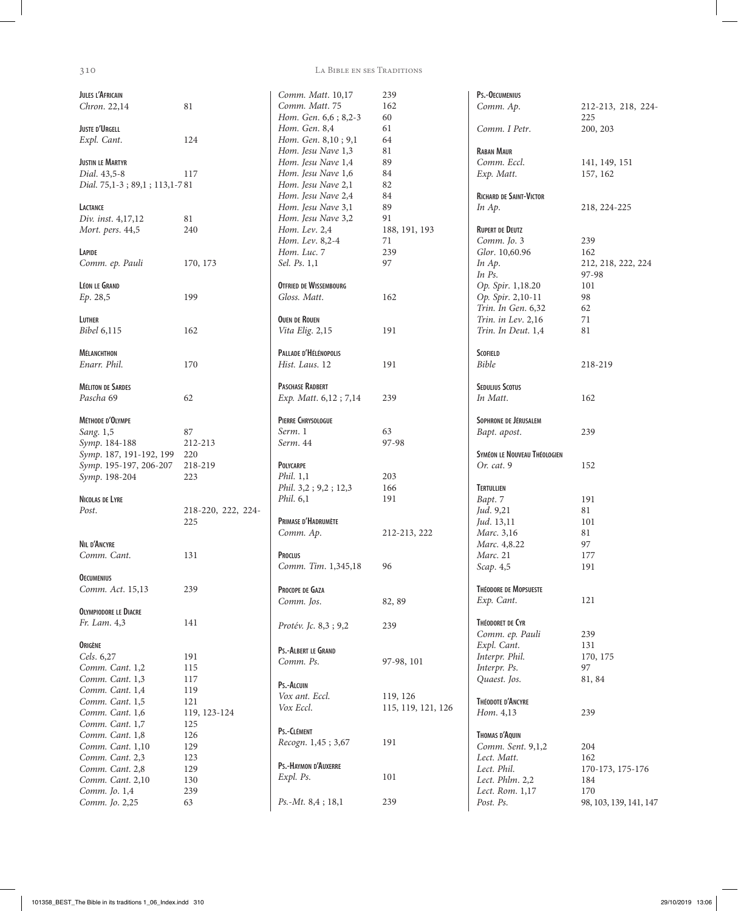| JULES L'AFRICAIN<br>Chron. 22,14                                                                                                                                                                                                                                            | 81                                                                                                     |
|-----------------------------------------------------------------------------------------------------------------------------------------------------------------------------------------------------------------------------------------------------------------------------|--------------------------------------------------------------------------------------------------------|
| <b>JUSTE D'URGELL</b><br>Expl. Cant.                                                                                                                                                                                                                                        | 124                                                                                                    |
| <b>JUSTIN LE MARTYR</b><br>Dial. 43,5-8<br>Dial. 75,1-3; 89,1; 113,1-781                                                                                                                                                                                                    | 117                                                                                                    |
| LACTANCE<br>Div. inst. 4,17,12<br>Mort. pers. 44,5                                                                                                                                                                                                                          | 81<br>240                                                                                              |
| LAPIDE<br>Comm. ep. Pauli                                                                                                                                                                                                                                                   | 170, 173                                                                                               |
| <b>LÉON LE GRAND</b><br>Ep. 28,5                                                                                                                                                                                                                                            | 199                                                                                                    |
| LUTHER<br><i>Bibel</i> 6,115                                                                                                                                                                                                                                                | 162                                                                                                    |
| <b>MÉLANCHTHON</b><br>Enarr. Phil.                                                                                                                                                                                                                                          | 170                                                                                                    |
| <b>MÉLITON DE SARDES</b><br>Pascha 69                                                                                                                                                                                                                                       | 62                                                                                                     |
| MÉTHODE D'OLYMPE<br>Sang. 1,5<br>Symp. 184-188<br>Symp. 187, 191-192, 199 220<br>Symp. 195-197, 206-207 218-219<br>Symp. 198-204                                                                                                                                            | 87<br>212-213<br>223                                                                                   |
| NICOLAS DE LYRE<br>Post.                                                                                                                                                                                                                                                    | 218-220, 222, 224-<br>225                                                                              |
| <b>NIL D'ANCYRE</b><br>Comm. Cant.                                                                                                                                                                                                                                          | 131                                                                                                    |
| <b>OECUMENIUS</b><br>Comm. Act. 15,13                                                                                                                                                                                                                                       | 239                                                                                                    |
| <b>OLYMPIODORE LE DIACRE</b><br>Fr. Lam. 4,3                                                                                                                                                                                                                                | 141                                                                                                    |
| ORIGÈNE<br>Cels. 6,27<br>Comm. Cant. 1,2<br>Comm. Cant. 1,3<br>Comm. Cant. 1,4<br>Comm. Cant. 1,5<br>Comm. Cant. 1,6<br>Comm. Cant. 1,7<br>Comm. Cant. 1,8<br>Comm. Cant. 1,10<br>Comm. Cant. 2,3<br>Comm. Cant. 2,8<br>Comm. Cant. 2,10<br>Comm. Jo. 1,4<br>Comm. Jo. 2,25 | 191<br>115<br>117<br>119<br>121<br>119, 123-124<br>125<br>126<br>129<br>123<br>129<br>130<br>239<br>63 |

310 La Bible en ses Traditions

| Comm. Matt. 10,17<br>Comm. Matt. 75              | 239<br>162                     |
|--------------------------------------------------|--------------------------------|
| Hom. Gen. 6,6 ; 8,2-3                            | 60                             |
| Hom. Gen. 8,4                                    | 61                             |
| Hom. Gen. 8,10; 9,1                              | 64                             |
| Hom. Jesu Nave 1,3                               | 81                             |
| Hom. Jesu Nave 1,4                               | -89                            |
| Hom. Jesu Nave 1,6                               | -84                            |
| Hom. Jesu Nave 2,1<br>Hom. Jesu Nave 2,4         | 82<br>84                       |
| Hom. Jesu Nave 3,1                               | 89                             |
| Hom. Jesu Nave 3,2                               | 91                             |
| Hom. Lev. 2,4                                    | 188, 191, 193                  |
| Hom. Lev. 8,2-4                                  | 71                             |
| Hom. Luc. 7                                      | 239                            |
| Sel. Ps. 1,1                                     | 97                             |
| OTFRIED DE WISSEMBOURG                           |                                |
| Gloss. Matt.                                     | 162                            |
| <b>OUEN DE ROUEN</b>                             |                                |
| Vita Elig. 2,15                                  | 191                            |
| PALLADE D'HÉLÉNOPOLIS                            |                                |
| Hist. Laus. 12                                   | 191                            |
|                                                  |                                |
| <b>PASCHASE RADBERT</b><br>Exp. Matt. 6,12; 7,14 | 239                            |
|                                                  |                                |
| PIERRE CHRYSOLOGUE                               |                                |
| Serm. 1<br>Serm. 44                              | 63                             |
|                                                  | 97-98                          |
| <b>POLYCARPE</b>                                 |                                |
| Phil. 1,1                                        | 203                            |
| Phil. 3,2; 9,2; 12,3                             | 166                            |
| Phil. 6,1                                        | 191                            |
| PRIMASE D'HADRUMÈTE                              |                                |
| Comm. Ap.                                        | 212-213, 222                   |
| PROCLUS                                          |                                |
| Comm. Tim. 1,345,18                              | 96                             |
|                                                  |                                |
| PROCOPE DE GAZA                                  |                                |
| Comm. Jos.                                       | 82, 89                         |
|                                                  |                                |
| Protév. Jc. 8,3; 9,2                             | 239                            |
| PS.-ALBERT LE GRAND                              |                                |
| Comm. Ps.                                        | 97-98, 101                     |
|                                                  |                                |
| Ps.-ALCUIN<br>Vox ant. Eccl.                     |                                |
| Vox Eccl.                                        | 119, 126<br>115, 119, 121, 126 |
|                                                  |                                |
| Ps.-CLÉMENT                                      |                                |
| Recogn. 1,45; 3,67                               | 191                            |
| Ps.-HAYMON D'AUXERRE                             |                                |
| Expl. Ps.                                        | 101                            |
|                                                  |                                |
| $Ps.-Mt. 8,4; 18,1$                              | 239                            |
|                                                  |                                |

| Ps.-OECUMENIUS                           |                        |
|------------------------------------------|------------------------|
| Comm. Ap.                                | 212-213, 218, 224-     |
|                                          | 225                    |
| Comm. I Petr.                            | 200, 203               |
| <b>RABAN MAUR</b>                        |                        |
| Comm. Eccl.                              | 141, 149, 151          |
| Exp. Matt.                               | 157, 162               |
| <b>RICHARD DE SAINT-VICTOR</b>           |                        |
| In Ap.                                   | 218, 224-225           |
|                                          |                        |
| <b>RUPERT DE DEUTZ</b>                   |                        |
| Comm. Jo. 3                              | 239                    |
| Glor. 10,60.96                           | 162                    |
| In Ap.                                   | 212, 218, 222, 224     |
| In Ps.                                   | 97-98                  |
| Op. Spir. 1,18.20                        | 101                    |
| Op. Spir. 2,10-11                        | 98                     |
| Trin. In Gen. 6,32                       | 62                     |
| Trin. in Lev. 2,16<br>Trin. In Deut. 1,4 | 71<br>81               |
|                                          |                        |
| <b>SCOFIELD</b>                          |                        |
| <b>Bible</b>                             | 218-219                |
|                                          |                        |
| <b>SEDULIUS SCOTUS</b>                   |                        |
| In Matt.                                 | 162                    |
| SOPHRONE DE JÉRUSALEM                    |                        |
| Bapt. apost.                             | 239                    |
|                                          |                        |
| SYMÉON LE NOUVEAU THÉOLOGIEN             |                        |
| Or. cat. 9                               | 152                    |
| <b>TERTULLIEN</b>                        |                        |
| Bapt. 7                                  | 191                    |
| Jud. 9,21                                | 81                     |
| Jud. 13,11                               | 101                    |
| Marc. 3,16                               | 81                     |
| Marc. 4,8.22                             | 97                     |
| Marc. 21                                 | 177                    |
| Scap. 4,5                                | 191                    |
|                                          |                        |
| <b>THÉODORE DE MOPSUESTE</b>             |                        |
| Exp. Cant.                               | 121                    |
| THÉODORET DE CYR                         |                        |
| Comm. ep. Pauli                          | 239                    |
| Expl. Cant.                              | 131                    |
| Interpr. Phil.                           | 170, 175               |
| Interpr. Ps.                             | 97                     |
| Quaest. Jos.                             | 81, 84                 |
| THÉODOTE D'ANCYRE                        |                        |
| Hom. 4,13                                | 239                    |
|                                          |                        |
| THOMAS D'AQUIN                           |                        |
| Comm. Sent. 9,1,2                        | 204                    |
| Lect. Matt.                              | 162                    |
| Lect. Phil.                              | 170-173, 175-176       |
| Lect. Phlm. 2,2                          | 184                    |
| Lect. Rom. 1,17                          | 170                    |
| Post. Ps.                                | 98, 103, 139, 141, 147 |
|                                          |                        |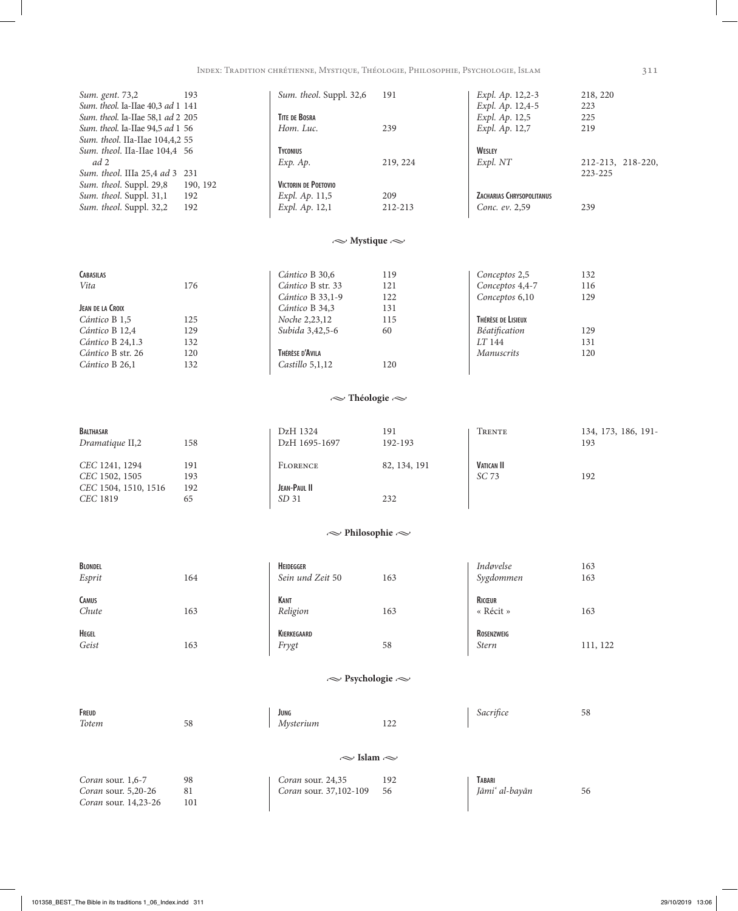| Sum. gent. 73,2                   | 193      | Sum. theol. Suppl. 32,6     | 191      | Expl. Ap. 12,2-3          | 218, 220          |
|-----------------------------------|----------|-----------------------------|----------|---------------------------|-------------------|
| Sum. theol. Ia-IIae 40,3 ad 1 141 |          |                             |          | Expl. Ap. 12,4-5          | 223               |
| Sum. theol. Ia-IIae 58,1 ad 2 205 |          | <b>TITE DE BOSRA</b>        |          | Expl. Ap. 12,5            | 225               |
| Sum. theol. Ia-IIae 94,5 ad 1 56  |          | Hom. Luc.                   | 239      | Expl. Ap. 12,7            | 219               |
| Sum. theol. IIa-IIae 104,4,2 55   |          |                             |          |                           |                   |
| Sum. theol. IIa-IIae 104,4 56     |          | <b>TYCONIUS</b>             |          | WESLEY                    |                   |
| ad 2                              |          | $Exp.$ Ap.                  | 219, 224 | Expl. NT                  | 212-213, 218-220, |
| Sum. theol. IIIa 25,4 ad 3 231    |          |                             |          |                           | 223-225           |
| Sum. theol. Suppl. 29,8           | 190, 192 | <b>VICTORIN DE POETOVIO</b> |          |                           |                   |
| Sum. theol. Suppl. 31,1           | 192      | Expl. Ap. 11,5              | 209      | ZACHARIAS CHRYSOPOLITANUS |                   |
| Sum. theol. Suppl. 32,2           | 192      | Expl. Ap. 12,1              | 212-213  | Conc. ev. 2.59            | 239               |
|                                   |          |                             |          |                           |                   |

# $\sim$  Mystique  $\sim$

|     | Cántico B 30,6       | 119 | Conceptos 2,5      | 132 |
|-----|----------------------|-----|--------------------|-----|
| 176 | Cántico B str. 33    | 121 | Conceptos 4,4-7    | 116 |
|     | Cántico B 33,1-9     | 122 | Conceptos 6,10     | 129 |
|     | Cántico B 34,3       | 131 |                    |     |
| 125 | <i>Noche</i> 2,23,12 | 115 | Thérèse de Lisieux |     |
| 129 | Subida 3,42,5-6      | 60  | Béatification      | 129 |
| 132 |                      |     | LT 144             | 131 |
| 120 | Thérèse d'Avila      |     | <i>Manuscrits</i>  | 120 |
| 132 | Castillo $5,1,12$    | 120 |                    |     |
|     |                      |     |                    |     |

# $\sim$ Théologie $\sim$

| <b>BALTHASAR</b>     |     | DzH 1324         | 191          | TRENTE            | 134, 173, 186, 191- |
|----------------------|-----|------------------|--------------|-------------------|---------------------|
| Dramatique II,2      | 158 | DzH 1695-1697    | 192-193      |                   | 193                 |
| CEC 1241, 1294       | 191 | <b>FLORENCE</b>  | 82, 134, 191 | <b>VATICAN II</b> |                     |
| CEC 1502, 1505       | 193 |                  |              | SC 73             | 192                 |
| CEC 1504, 1510, 1516 | 192 | JEAN-PAUL II     |              |                   |                     |
| CEC 1819             | 65  | SD <sub>31</sub> | 232          |                   |                     |

# $\sim$  Philosophie  $\sim$

| <b>BLONDEL</b><br>Esprit | 164 | <b>HEIDEGGER</b><br>Sein und Zeit 50 | 163                       | Indøvelse<br>Sygdommen     | 163<br>163 |  |
|--------------------------|-----|--------------------------------------|---------------------------|----------------------------|------------|--|
| CAMUS<br>Chute           | 163 | KANT<br>Religion                     | 163                       | RICŒUR<br>« Récit »        | 163        |  |
| <b>HEGEL</b><br>Geist    | 163 | KIERKEGAARD<br>Frygt                 | 58                        | ROSENZWEIG<br><b>Stern</b> | 111, 122   |  |
|                          |     |                                      | $\sim$ Psychologie $\sim$ |                            |            |  |
| FREUD<br>Totem           | 58  | JUNG<br>Mysterium                    | 122                       | Sacrifice                  | 58         |  |
| $\sim$ Islam $\sim$      |     |                                      |                           |                            |            |  |

| <i>Coran</i> sour. 1,6-7    | Coran sour. 24,35             | Tabari         |  |
|-----------------------------|-------------------------------|----------------|--|
| <i>Coran</i> sour. 5,20-26  | <i>Coran sour.</i> 37,102-109 | Jāmi' al-bayān |  |
| <i>Coran</i> sour. 14,23-26 |                               |                |  |